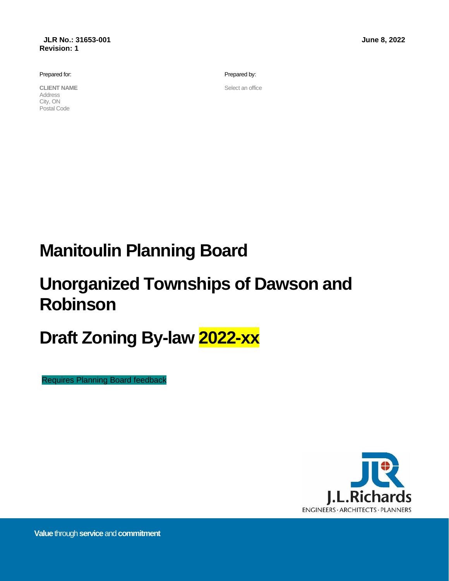Prepared for:

**CLIENT NAME** Address City, ON Postal Code

Prepared by:

Select an office

# **Manitoulin Planning Board**

# **Unorganized Townships of Dawson and Robinson**

# **Draft Zoning By-law 2022-xx**

Requires Planning Board feedback



**Value** through**service** and**commitment**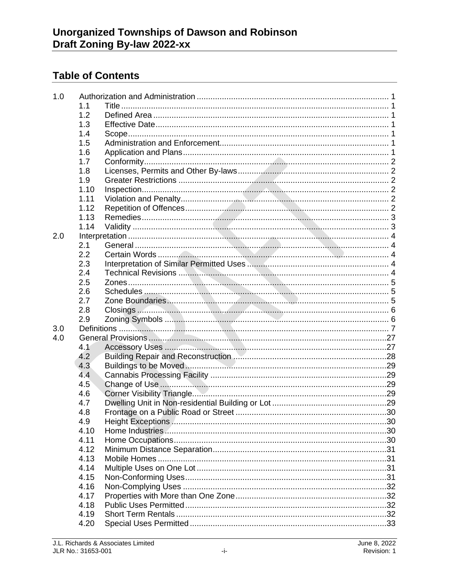# **Table of Contents**

| 1.0 |      |  |
|-----|------|--|
|     | 1.1  |  |
|     | 1.2  |  |
|     | 1.3  |  |
|     | 1.4  |  |
|     | 1.5  |  |
|     | 1.6  |  |
|     | 1.7  |  |
|     | 1.8  |  |
|     | 1.9  |  |
|     | 1.10 |  |
|     | 1.11 |  |
|     | 1.12 |  |
|     | 1.13 |  |
|     | 1.14 |  |
| 2.0 |      |  |
|     | 2.1  |  |
|     | 2.2  |  |
|     | 2.3  |  |
|     | 2.4  |  |
|     | 2.5  |  |
|     | 2.6  |  |
|     | 2.7  |  |
|     | 2.8  |  |
|     | 2.9  |  |
| 3.0 |      |  |
| 4.0 |      |  |
|     | 4.1  |  |
|     | 4.2  |  |
|     | 4.3  |  |
|     | 4.4  |  |
|     | 4.5  |  |
|     | 4.6  |  |
|     | 4.7  |  |
|     | 4.8  |  |
|     | 4.9  |  |
|     | 4.10 |  |
|     | 4.11 |  |
|     | 4.12 |  |
|     | 4.13 |  |
|     | 4.14 |  |
|     | 4.15 |  |
|     | 4.16 |  |
|     | 4.17 |  |
|     | 4.18 |  |
|     | 4.19 |  |
|     | 4.20 |  |
|     |      |  |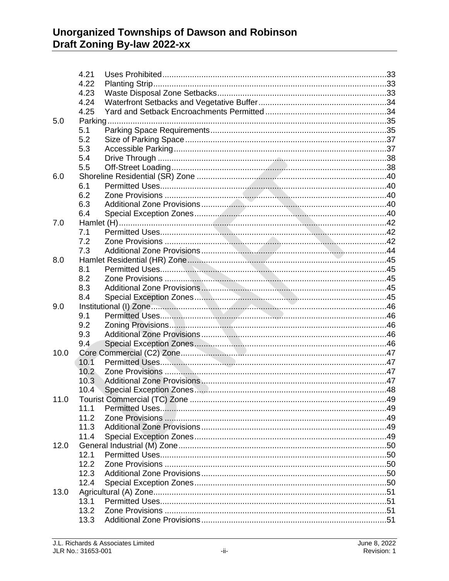|      | 4.21              |  |
|------|-------------------|--|
|      | 4.22              |  |
|      | 4.23              |  |
|      | 4.24              |  |
|      | 4.25              |  |
| 5.0  |                   |  |
|      | 5.1               |  |
|      | 5.2               |  |
|      | 5.3               |  |
|      | 5.4               |  |
|      | 5.5               |  |
| 6.0  |                   |  |
|      | 6.1               |  |
|      | 6.2               |  |
|      | 6.3               |  |
|      | 6.4               |  |
| 7.0  |                   |  |
|      | 7.1               |  |
|      | 7.2               |  |
|      | 7.3               |  |
| 8.0  |                   |  |
|      | 8.1               |  |
|      | 8.2               |  |
|      | 8.3               |  |
|      | 8.4               |  |
| 9.0  |                   |  |
|      | 9.1               |  |
|      | 9.2               |  |
|      | 9.3               |  |
|      | 9.4               |  |
| 10.0 |                   |  |
|      | 10.1              |  |
|      | 10.2 <sub>1</sub> |  |
|      | 10.3              |  |
|      | 10.4              |  |
| 11.0 |                   |  |
|      | 11.1              |  |
|      | 11.2              |  |
|      | 11.3              |  |
|      | 11.4              |  |
| 12.0 |                   |  |
|      | 12.1              |  |
|      | 12.2              |  |
|      | 12.3              |  |
|      | 12.4              |  |
| 13.0 |                   |  |
|      | 13.1              |  |
|      | 13.2              |  |
|      | 13.3              |  |
|      |                   |  |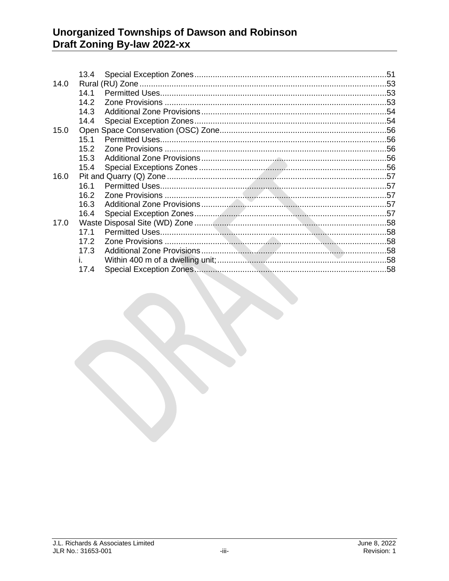| 14.0<br>14.1<br>14.2<br>14.3<br>14.4<br>15.0<br>15.1<br>15.2<br>15.3<br>15.4<br>16.0<br>16.1<br>16.2<br>16.3<br>16.4<br>17.0<br>17.1<br>17.2<br>17.3 | 13.4 |                         |  |
|------------------------------------------------------------------------------------------------------------------------------------------------------|------|-------------------------|--|
|                                                                                                                                                      |      |                         |  |
|                                                                                                                                                      |      |                         |  |
|                                                                                                                                                      |      |                         |  |
|                                                                                                                                                      |      |                         |  |
|                                                                                                                                                      |      |                         |  |
|                                                                                                                                                      |      |                         |  |
|                                                                                                                                                      |      |                         |  |
|                                                                                                                                                      |      |                         |  |
|                                                                                                                                                      |      |                         |  |
|                                                                                                                                                      |      |                         |  |
|                                                                                                                                                      |      |                         |  |
|                                                                                                                                                      |      |                         |  |
|                                                                                                                                                      |      |                         |  |
|                                                                                                                                                      |      |                         |  |
|                                                                                                                                                      |      |                         |  |
|                                                                                                                                                      |      |                         |  |
|                                                                                                                                                      |      |                         |  |
|                                                                                                                                                      |      |                         |  |
|                                                                                                                                                      |      |                         |  |
| i. I                                                                                                                                                 |      |                         |  |
| 17.4                                                                                                                                                 |      | Special Exception Zones |  |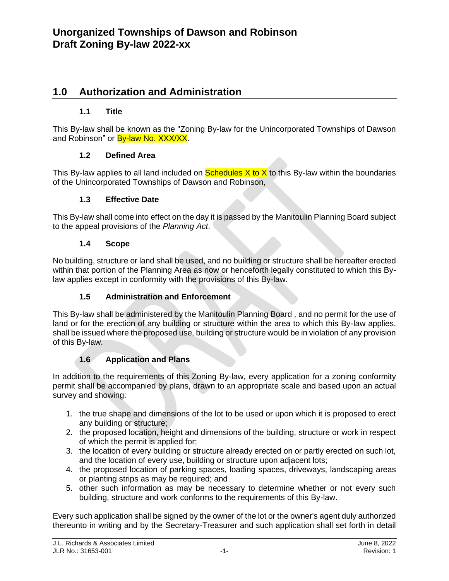## **1.0 Authorization and Administration**

#### **1.1 Title**

This By-law shall be known as the "Zoning By-law for the Unincorporated Townships of Dawson and Robinson" or **By-law No. XXX/XX.** 

#### **1.2 Defined Area**

This By-law applies to all land included on  $S$ chedules  $X$  to  $X$  to this By-law within the boundaries of the Unincorporated Townships of Dawson and Robinson,

#### **1.3 Effective Date**

This By-law shall come into effect on the day it is passed by the Manitoulin Planning Board subject to the appeal provisions of the *Planning Act*.

#### **1.4 Scope**

No building, structure or land shall be used, and no building or structure shall be hereafter erected within that portion of the Planning Area as now or henceforth legally constituted to which this Bylaw applies except in conformity with the provisions of this By-law.

#### **1.5 Administration and Enforcement**

This By-law shall be administered by the Manitoulin Planning Board , and no permit for the use of land or for the erection of any building or structure within the area to which this By-law applies, shall be issued where the proposed use, building or structure would be in violation of any provision of this By-law.

## **1.6 Application and Plans**

In addition to the requirements of this Zoning By-law, every application for a zoning conformity permit shall be accompanied by plans, drawn to an appropriate scale and based upon an actual survey and showing:

- 1. the true shape and dimensions of the lot to be used or upon which it is proposed to erect any building or structure;
- 2. the proposed location, height and dimensions of the building, structure or work in respect of which the permit is applied for;
- 3. the location of every building or structure already erected on or partly erected on such lot, and the location of every use, building or structure upon adjacent lots;
- 4. the proposed location of parking spaces, loading spaces, driveways, landscaping areas or planting strips as may be required; and
- 5. other such information as may be necessary to determine whether or not every such building, structure and work conforms to the requirements of this By-law.

Every such application shall be signed by the owner of the lot or the owner's agent duly authorized thereunto in writing and by the Secretary-Treasurer and such application shall set forth in detail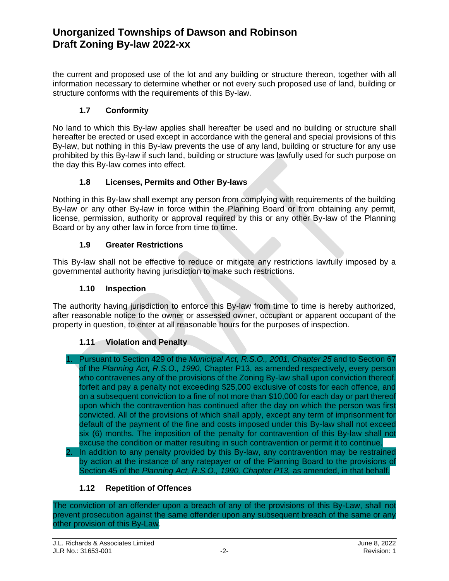the current and proposed use of the lot and any building or structure thereon, together with all information necessary to determine whether or not every such proposed use of land, building or structure conforms with the requirements of this By-law.

#### **1.7 Conformity**

No land to which this By-law applies shall hereafter be used and no building or structure shall hereafter be erected or used except in accordance with the general and special provisions of this By-law, but nothing in this By-law prevents the use of any land, building or structure for any use prohibited by this By-law if such land, building or structure was lawfully used for such purpose on the day this By-law comes into effect.

#### **1.8 Licenses, Permits and Other By-laws**

Nothing in this By-law shall exempt any person from complying with requirements of the building By-law or any other By-law in force within the Planning Board or from obtaining any permit, license, permission, authority or approval required by this or any other By-law of the Planning Board or by any other law in force from time to time.

#### **1.9 Greater Restrictions**

This By-law shall not be effective to reduce or mitigate any restrictions lawfully imposed by a governmental authority having jurisdiction to make such restrictions.

#### **1.10 Inspection**

The authority having jurisdiction to enforce this By-law from time to time is hereby authorized, after reasonable notice to the owner or assessed owner, occupant or apparent occupant of the property in question, to enter at all reasonable hours for the purposes of inspection.

#### **1.11 Violation and Penalty**

- 1. Pursuant to Section 429 of the *Municipal Act, R.S.O., 2001, Chapter 25* and to Section 67 of the *Planning Act, R.S.O., 1990,* Chapter P13, as amended respectively, every person who contravenes any of the provisions of the Zoning By-law shall upon conviction thereof, forfeit and pay a penalty not exceeding \$25,000 exclusive of costs for each offence, and on a subsequent conviction to a fine of not more than \$10,000 for each day or part thereof upon which the contravention has continued after the day on which the person was first convicted. All of the provisions of which shall apply, except any term of imprisonment for default of the payment of the fine and costs imposed under this By-law shall not exceed six (6) months. The imposition of the penalty for contravention of this By-law shall not excuse the condition or matter resulting in such contravention or permit it to continue.
- In addition to any penalty provided by this By-law, any contravention may be restrained by action at the instance of any ratepayer or of the Planning Board to the provisions of Section 45 of the *Planning Act, R.S.O., 1990, Chapter P13,* as amended, in that behalf.

#### **1.12 Repetition of Offences**

The conviction of an offender upon a breach of any of the provisions of this By-Law, shall not prevent prosecution against the same offender upon any subsequent breach of the same or any other provision of this By-Law.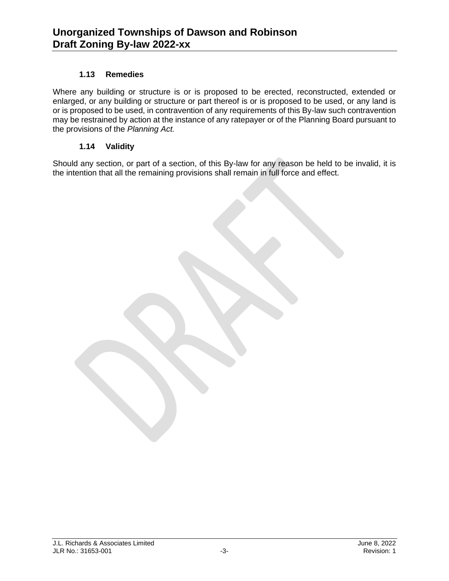#### **1.13 Remedies**

Where any building or structure is or is proposed to be erected, reconstructed, extended or enlarged, or any building or structure or part thereof is or is proposed to be used, or any land is or is proposed to be used, in contravention of any requirements of this By-law such contravention may be restrained by action at the instance of any ratepayer or of the Planning Board pursuant to the provisions of the *Planning Act.*

#### **1.14 Validity**

Should any section, or part of a section, of this By-law for any reason be held to be invalid, it is the intention that all the remaining provisions shall remain in full force and effect.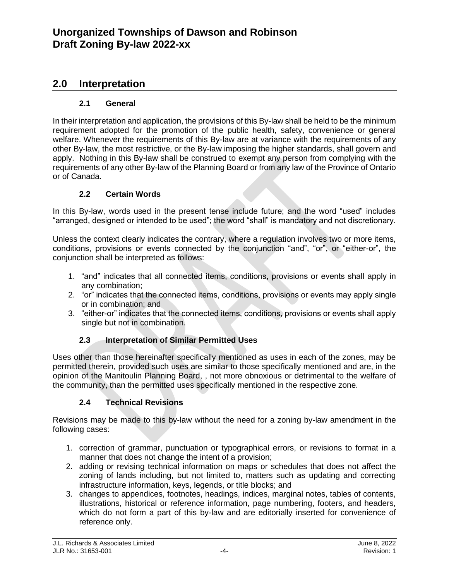## **2.0 Interpretation**

#### **2.1 General**

In their interpretation and application, the provisions of this By-law shall be held to be the minimum requirement adopted for the promotion of the public health, safety, convenience or general welfare. Whenever the requirements of this By-law are at variance with the requirements of any other By-law, the most restrictive, or the By-law imposing the higher standards, shall govern and apply. Nothing in this By-law shall be construed to exempt any person from complying with the requirements of any other By-law of the Planning Board or from any law of the Province of Ontario or of Canada.

#### **2.2 Certain Words**

In this By-law, words used in the present tense include future; and the word "used" includes "arranged, designed or intended to be used"; the word "shall" is mandatory and not discretionary.

Unless the context clearly indicates the contrary, where a regulation involves two or more items, conditions, provisions or events connected by the conjunction "and", "or", or "either-or", the conjunction shall be interpreted as follows:

- 1. "and" indicates that all connected items, conditions, provisions or events shall apply in any combination;
- 2. "or" indicates that the connected items, conditions, provisions or events may apply single or in combination; and
- 3. "either-or" indicates that the connected items, conditions, provisions or events shall apply single but not in combination.

#### **2.3 Interpretation of Similar Permitted Uses**

Uses other than those hereinafter specifically mentioned as uses in each of the zones, may be permitted therein, provided such uses are similar to those specifically mentioned and are, in the opinion of the Manitoulin Planning Board, , not more obnoxious or detrimental to the welfare of the community, than the permitted uses specifically mentioned in the respective zone.

#### **2.4 Technical Revisions**

Revisions may be made to this by-law without the need for a zoning by-law amendment in the following cases:

- 1. correction of grammar, punctuation or typographical errors, or revisions to format in a manner that does not change the intent of a provision;
- 2. adding or revising technical information on maps or schedules that does not affect the zoning of lands including, but not limited to, matters such as updating and correcting infrastructure information, keys, legends, or title blocks; and
- 3. changes to appendices, footnotes, headings, indices, marginal notes, tables of contents, illustrations, historical or reference information, page numbering, footers, and headers, which do not form a part of this by-law and are editorially inserted for convenience of reference only.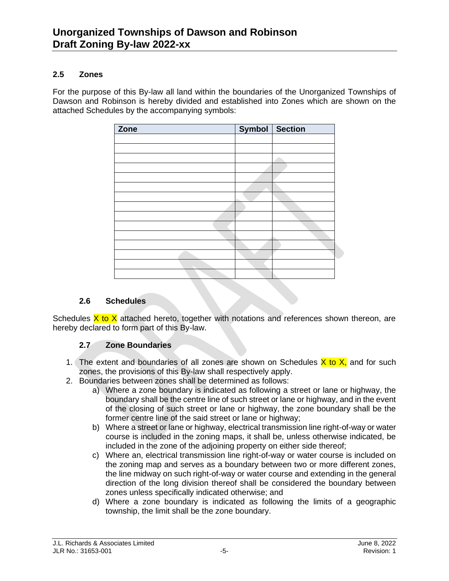#### **2.5 Zones**

For the purpose of this By-law all land within the boundaries of the Unorganized Townships of Dawson and Robinson is hereby divided and established into Zones which are shown on the attached Schedules by the accompanying symbols:

| Zone | Symbol Section |  |
|------|----------------|--|
|      |                |  |
|      |                |  |
|      |                |  |
|      |                |  |
|      |                |  |
|      |                |  |
|      |                |  |
|      |                |  |
|      |                |  |
|      |                |  |
|      |                |  |
|      |                |  |
|      |                |  |
|      |                |  |
|      |                |  |

#### **2.6 Schedules**

Schedules  $X$  to  $X$  attached hereto, together with notations and references shown thereon, are hereby declared to form part of this By-law.

#### **2.7 Zone Boundaries**

- 1. The extent and boundaries of all zones are shown on Schedules  $X$  to  $X$ , and for such zones, the provisions of this By-law shall respectively apply.
- 2. Boundaries between zones shall be determined as follows:
	- a) Where a zone boundary is indicated as following a street or lane or highway, the boundary shall be the centre line of such street or lane or highway, and in the event of the closing of such street or lane or highway, the zone boundary shall be the former centre line of the said street or lane or highway:
	- b) Where a street or lane or highway, electrical transmission line right-of-way or water course is included in the zoning maps, it shall be, unless otherwise indicated, be included in the zone of the adjoining property on either side thereof;
	- c) Where an, electrical transmission line right-of-way or water course is included on the zoning map and serves as a boundary between two or more different zones, the line midway on such right-of-way or water course and extending in the general direction of the long division thereof shall be considered the boundary between zones unless specifically indicated otherwise; and
	- d) Where a zone boundary is indicated as following the limits of a geographic township, the limit shall be the zone boundary.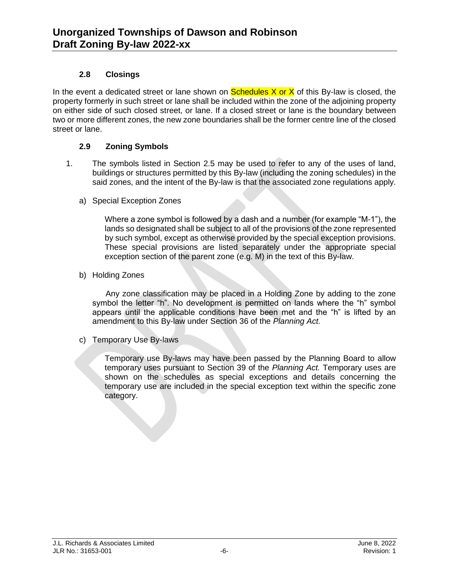#### **2.8 Closings**

In the event a dedicated street or lane shown on **Schedules X or X** of this By-law is closed, the property formerly in such street or lane shall be included within the zone of the adjoining property on either side of such closed street, or lane. If a closed street or lane is the boundary between two or more different zones, the new zone boundaries shall be the former centre line of the closed street or lane.

#### **2.9 Zoning Symbols**

- 1. The symbols listed in Section 2.5 may be used to refer to any of the uses of land, buildings or structures permitted by this By-law (including the zoning schedules) in the said zones, and the intent of the By-law is that the associated zone regulations apply.
	- a) Special Exception Zones

Where a zone symbol is followed by a dash and a number (for example "M-1"), the lands so designated shall be subject to all of the provisions of the zone represented by such symbol, except as otherwise provided by the special exception provisions. These special provisions are listed separately under the appropriate special exception section of the parent zone (e.g. M) in the text of this By-law.

b) Holding Zones

Any zone classification may be placed in a Holding Zone by adding to the zone symbol the letter "h". No development is permitted on lands where the "h" symbol appears until the applicable conditions have been met and the "h" is lifted by an amendment to this By-law under Section 36 of the *Planning Act.*

c) Temporary Use By-laws

Temporary use By-laws may have been passed by the Planning Board to allow temporary uses pursuant to Section 39 of the *Planning Act.* Temporary uses are shown on the schedules as special exceptions and details concerning the temporary use are included in the special exception text within the specific zone category.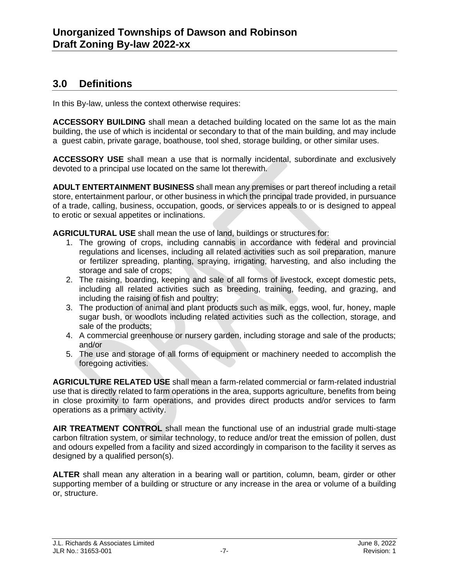## **3.0 Definitions**

In this By-law, unless the context otherwise requires:

**ACCESSORY BUILDING** shall mean a detached building located on the same lot as the main building, the use of which is incidental or secondary to that of the main building, and may include a guest cabin, private garage, boathouse, tool shed, storage building, or other similar uses.

**ACCESSORY USE** shall mean a use that is normally incidental, subordinate and exclusively devoted to a principal use located on the same lot therewith.

**ADULT ENTERTAINMENT BUSINESS** shall mean any premises or part thereof including a retail store, entertainment parlour, or other business in which the principal trade provided, in pursuance of a trade, calling, business, occupation, goods, or services appeals to or is designed to appeal to erotic or sexual appetites or inclinations.

**AGRICULTURAL USE** shall mean the use of land, buildings or structures for:

- 1. The growing of crops, including cannabis in accordance with federal and provincial regulations and licenses, including all related activities such as soil preparation, manure or fertilizer spreading, planting, spraying, irrigating, harvesting, and also including the storage and sale of crops;
- 2. The raising, boarding, keeping and sale of all forms of livestock, except domestic pets, including all related activities such as breeding, training, feeding, and grazing, and including the raising of fish and poultry;
- 3. The production of animal and plant products such as milk, eggs, wool, fur, honey, maple sugar bush, or woodlots including related activities such as the collection, storage, and sale of the products;
- 4. A commercial greenhouse or nursery garden, including storage and sale of the products; and/or
- 5. The use and storage of all forms of equipment or machinery needed to accomplish the foregoing activities.

**AGRICULTURE RELATED USE** shall mean a farm-related commercial or farm-related industrial use that is directly related to farm operations in the area, supports agriculture, benefits from being in close proximity to farm operations, and provides direct products and/or services to farm operations as a primary activity.

**AIR TREATMENT CONTROL** shall mean the functional use of an industrial grade multi-stage carbon filtration system, or similar technology, to reduce and/or treat the emission of pollen, dust and odours expelled from a facility and sized accordingly in comparison to the facility it serves as designed by a qualified person(s).

**ALTER** shall mean any alteration in a bearing wall or partition, column, beam, girder or other supporting member of a building or structure or any increase in the area or volume of a building or, structure.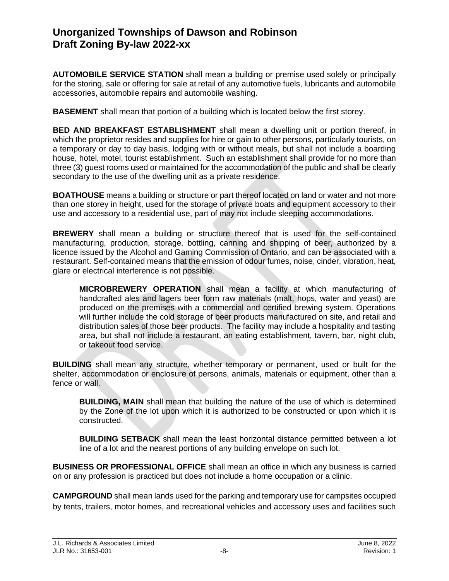**AUTOMOBILE SERVICE STATION** shall mean a building or premise used solely or principally for the storing, sale or offering for sale at retail of any automotive fuels, lubricants and automobile accessories, automobile repairs and automobile washing.

**BASEMENT** shall mean that portion of a building which is located below the first storey.

**BED AND BREAKFAST ESTABLISHMENT** shall mean a dwelling unit or portion thereof, in which the proprietor resides and supplies for hire or gain to other persons, particularly tourists, on a temporary or day to day basis, lodging with or without meals, but shall not include a boarding house, hotel, motel, tourist establishment. Such an establishment shall provide for no more than three (3) guest rooms used or maintained for the accommodation of the public and shall be clearly secondary to the use of the dwelling unit as a private residence.

**BOATHOUSE** means a building or structure or part thereof located on land or water and not more than one storey in height, used for the storage of private boats and equipment accessory to their use and accessory to a residential use, part of may not include sleeping accommodations.

**BREWERY** shall mean a building or structure thereof that is used for the self-contained manufacturing, production, storage, bottling, canning and shipping of beer, authorized by a licence issued by the Alcohol and Gaming Commission of Ontario, and can be associated with a restaurant. Self-contained means that the emission of odour fumes, noise, cinder, vibration, heat, glare or electrical interference is not possible.

**MICROBREWERY OPERATION** shall mean a facility at which manufacturing of handcrafted ales and lagers beer form raw materials (malt, hops, water and yeast) are produced on the premises with a commercial and certified brewing system. Operations will further include the cold storage of beer products manufactured on site, and retail and distribution sales of those beer products. The facility may include a hospitality and tasting area, but shall not include a restaurant, an eating establishment, tavern, bar, night club, or takeout food service.

**BUILDING** shall mean any structure, whether temporary or permanent, used or built for the shelter, accommodation or enclosure of persons, animals, materials or equipment, other than a fence or wall.

**BUILDING, MAIN** shall mean that building the nature of the use of which is determined by the Zone of the lot upon which it is authorized to be constructed or upon which it is constructed.

**BUILDING SETBACK** shall mean the least horizontal distance permitted between a lot line of a lot and the nearest portions of any building envelope on such lot.

**BUSINESS OR PROFESSIONAL OFFICE** shall mean an office in which any business is carried on or any profession is practiced but does not include a home occupation or a clinic.

**CAMPGROUND** shall mean lands used for the parking and temporary use for campsites occupied by tents, trailers, motor homes, and recreational vehicles and accessory uses and facilities such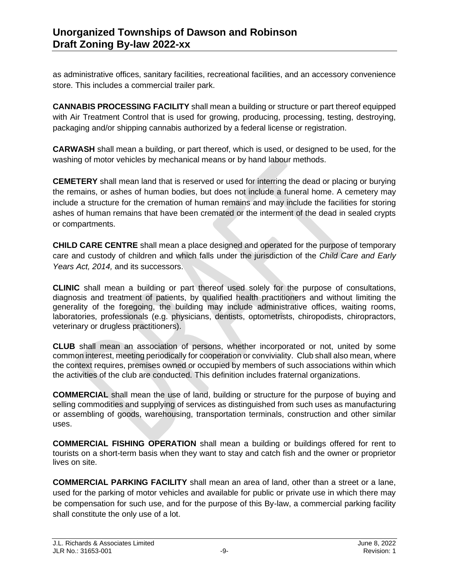as administrative offices, sanitary facilities, recreational facilities, and an accessory convenience store. This includes a commercial trailer park.

**CANNABIS PROCESSING FACILITY** shall mean a building or structure or part thereof equipped with Air Treatment Control that is used for growing, producing, processing, testing, destroying, packaging and/or shipping cannabis authorized by a federal license or registration.

**CARWASH** shall mean a building, or part thereof, which is used, or designed to be used, for the washing of motor vehicles by mechanical means or by hand labour methods.

**CEMETERY** shall mean land that is reserved or used for interring the dead or placing or burying the remains, or ashes of human bodies, but does not include a funeral home. A cemetery may include a structure for the cremation of human remains and may include the facilities for storing ashes of human remains that have been cremated or the interment of the dead in sealed crypts or compartments.

**CHILD CARE CENTRE** shall mean a place designed and operated for the purpose of temporary care and custody of children and which falls under the jurisdiction of the *Child Care and Early Years Act, 2014,* and its successors.

**CLINIC** shall mean a building or part thereof used solely for the purpose of consultations, diagnosis and treatment of patients, by qualified health practitioners and without limiting the generality of the foregoing, the building may include administrative offices, waiting rooms, laboratories, professionals (e.g. physicians, dentists, optometrists, chiropodists, chiropractors, veterinary or drugless practitioners).

**CLUB** shall mean an association of persons, whether incorporated or not, united by some common interest, meeting periodically for cooperation or conviviality. Club shall also mean, where the context requires, premises owned or occupied by members of such associations within which the activities of the club are conducted. This definition includes fraternal organizations.

**COMMERCIAL** shall mean the use of land, building or structure for the purpose of buying and selling commodities and supplying of services as distinguished from such uses as manufacturing or assembling of goods, warehousing, transportation terminals, construction and other similar uses.

**COMMERCIAL FISHING OPERATION** shall mean a building or buildings offered for rent to tourists on a short-term basis when they want to stay and catch fish and the owner or proprietor lives on site.

**COMMERCIAL PARKING FACILITY** shall mean an area of land, other than a street or a lane, used for the parking of motor vehicles and available for public or private use in which there may be compensation for such use, and for the purpose of this By-law, a commercial parking facility shall constitute the only use of a lot.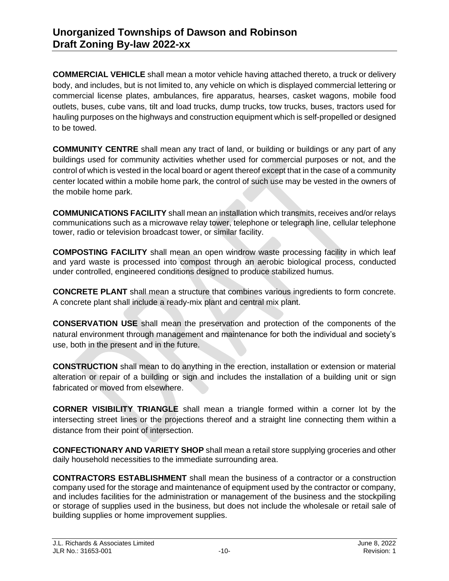**COMMERCIAL VEHICLE** shall mean a motor vehicle having attached thereto, a truck or delivery body, and includes, but is not limited to, any vehicle on which is displayed commercial lettering or commercial license plates, ambulances, fire apparatus, hearses, casket wagons, mobile food outlets, buses, cube vans, tilt and load trucks, dump trucks, tow trucks, buses, tractors used for hauling purposes on the highways and construction equipment which is self-propelled or designed to be towed.

**COMMUNITY CENTRE** shall mean any tract of land, or building or buildings or any part of any buildings used for community activities whether used for commercial purposes or not, and the control of which is vested in the local board or agent thereof except that in the case of a community center located within a mobile home park, the control of such use may be vested in the owners of the mobile home park.

**COMMUNICATIONS FACILITY** shall mean an installation which transmits, receives and/or relays communications such as a microwave relay tower, telephone or telegraph line, cellular telephone tower, radio or television broadcast tower, or similar facility.

**COMPOSTING FACILITY** shall mean an open windrow waste processing facility in which leaf and yard waste is processed into compost through an aerobic biological process, conducted under controlled, engineered conditions designed to produce stabilized humus.

**CONCRETE PLANT** shall mean a structure that combines various ingredients to form concrete. A concrete plant shall include a ready-mix plant and central mix plant.

**CONSERVATION USE** shall mean the preservation and protection of the components of the natural environment through management and maintenance for both the individual and society's use, both in the present and in the future.

**CONSTRUCTION** shall mean to do anything in the erection, installation or extension or material alteration or repair of a building or sign and includes the installation of a building unit or sign fabricated or moved from elsewhere.

**CORNER VISIBILITY TRIANGLE** shall mean a triangle formed within a corner lot by the intersecting street lines or the projections thereof and a straight line connecting them within a distance from their point of intersection.

**CONFECTIONARY AND VARIETY SHOP** shall mean a retail store supplying groceries and other daily household necessities to the immediate surrounding area.

**CONTRACTORS ESTABLISHMENT** shall mean the business of a contractor or a construction company used for the storage and maintenance of equipment used by the contractor or company, and includes facilities for the administration or management of the business and the stockpiling or storage of supplies used in the business, but does not include the wholesale or retail sale of building supplies or home improvement supplies.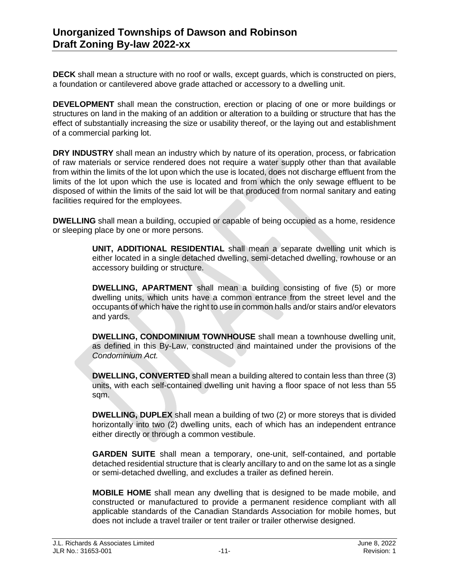**DECK** shall mean a structure with no roof or walls, except guards, which is constructed on piers, a foundation or cantilevered above grade attached or accessory to a dwelling unit.

**DEVELOPMENT** shall mean the construction, erection or placing of one or more buildings or structures on land in the making of an addition or alteration to a building or structure that has the effect of substantially increasing the size or usability thereof, or the laying out and establishment of a commercial parking lot.

**DRY INDUSTRY** shall mean an industry which by nature of its operation, process, or fabrication of raw materials or service rendered does not require a water supply other than that available from within the limits of the lot upon which the use is located, does not discharge effluent from the limits of the lot upon which the use is located and from which the only sewage effluent to be disposed of within the limits of the said lot will be that produced from normal sanitary and eating facilities required for the employees.

**DWELLING** shall mean a building, occupied or capable of being occupied as a home, residence or sleeping place by one or more persons.

> **UNIT, ADDITIONAL RESIDENTIAL** shall mean a separate dwelling unit which is either located in a single detached dwelling, semi-detached dwelling, rowhouse or an accessory building or structure.

> **DWELLING, APARTMENT** shall mean a building consisting of five (5) or more dwelling units, which units have a common entrance from the street level and the occupants of which have the right to use in common halls and/or stairs and/or elevators and yards.

> **DWELLING, CONDOMINIUM TOWNHOUSE** shall mean a townhouse dwelling unit, as defined in this By-Law, constructed and maintained under the provisions of the *Condominium Act.*

> **DWELLING, CONVERTED** shall mean a building altered to contain less than three (3) units, with each self-contained dwelling unit having a floor space of not less than 55 sqm.

> **DWELLING, DUPLEX** shall mean a building of two (2) or more storeys that is divided horizontally into two (2) dwelling units, each of which has an independent entrance either directly or through a common vestibule.

> **GARDEN SUITE** shall mean a temporary, one-unit, self-contained, and portable detached residential structure that is clearly ancillary to and on the same lot as a single or semi-detached dwelling, and excludes a trailer as defined herein.

> **MOBILE HOME** shall mean any dwelling that is designed to be made mobile, and constructed or manufactured to provide a permanent residence compliant with all applicable standards of the Canadian Standards Association for mobile homes, but does not include a travel trailer or tent trailer or trailer otherwise designed.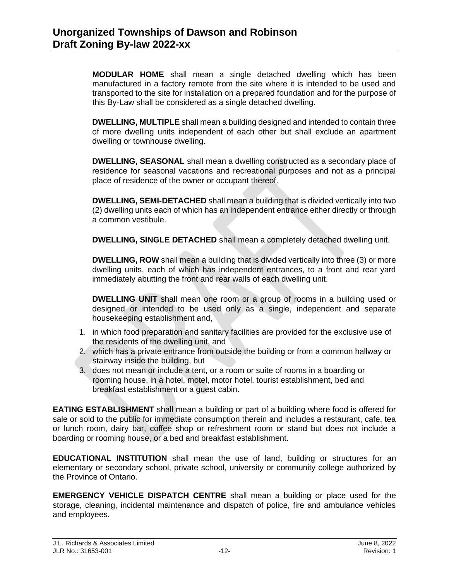**MODULAR HOME** shall mean a single detached dwelling which has been manufactured in a factory remote from the site where it is intended to be used and transported to the site for installation on a prepared foundation and for the purpose of this By-Law shall be considered as a single detached dwelling.

**DWELLING, MULTIPLE** shall mean a building designed and intended to contain three of more dwelling units independent of each other but shall exclude an apartment dwelling or townhouse dwelling.

**DWELLING, SEASONAL** shall mean a dwelling constructed as a secondary place of residence for seasonal vacations and recreational purposes and not as a principal place of residence of the owner or occupant thereof.

**DWELLING, SEMI-DETACHED** shall mean a building that is divided vertically into two (2) dwelling units each of which has an independent entrance either directly or through a common vestibule.

**DWELLING, SINGLE DETACHED** shall mean a completely detached dwelling unit.

**DWELLING, ROW** shall mean a building that is divided vertically into three (3) or more dwelling units, each of which has independent entrances, to a front and rear yard immediately abutting the front and rear walls of each dwelling unit.

**DWELLING UNIT** shall mean one room or a group of rooms in a building used or designed or intended to be used only as a single, independent and separate housekeeping establishment and,

- 1. in which food preparation and sanitary facilities are provided for the exclusive use of the residents of the dwelling unit, and
- 2. which has a private entrance from outside the building or from a common hallway or stairway inside the building, but
- 3. does not mean or include a tent, or a room or suite of rooms in a boarding or rooming house, in a hotel, motel, motor hotel, tourist establishment, bed and breakfast establishment or a guest cabin.

**EATING ESTABLISHMENT** shall mean a building or part of a building where food is offered for sale or sold to the public for immediate consumption therein and includes a restaurant, cafe, tea or lunch room, dairy bar, coffee shop or refreshment room or stand but does not include a boarding or rooming house, or a bed and breakfast establishment.

**EDUCATIONAL INSTITUTION** shall mean the use of land, building or structures for an elementary or secondary school, private school, university or community college authorized by the Province of Ontario.

**EMERGENCY VEHICLE DISPATCH CENTRE** shall mean a building or place used for the storage, cleaning, incidental maintenance and dispatch of police, fire and ambulance vehicles and employees.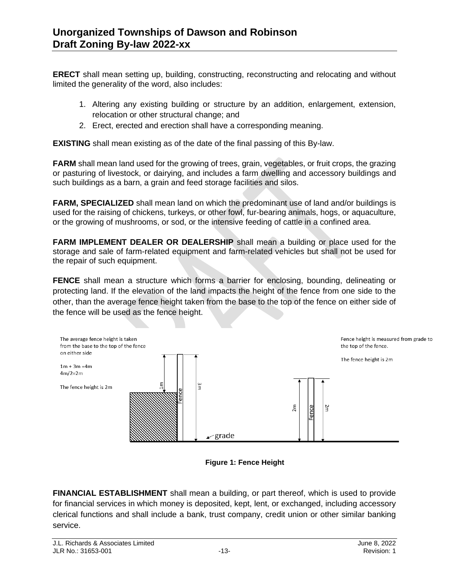**ERECT** shall mean setting up, building, constructing, reconstructing and relocating and without limited the generality of the word, also includes:

- 1. Altering any existing building or structure by an addition, enlargement, extension, relocation or other structural change; and
- 2. Erect, erected and erection shall have a corresponding meaning.

**EXISTING** shall mean existing as of the date of the final passing of this By-law.

**FARM** shall mean land used for the growing of trees, grain, vegetables, or fruit crops, the grazing or pasturing of livestock, or dairying, and includes a farm dwelling and accessory buildings and such buildings as a barn, a grain and feed storage facilities and silos.

**FARM, SPECIALIZED** shall mean land on which the predominant use of land and/or buildings is used for the raising of chickens, turkeys, or other fowl, fur-bearing animals, hogs, or aquaculture, or the growing of mushrooms, or sod, or the intensive feeding of cattle in a confined area.

**FARM IMPLEMENT DEALER OR DEALERSHIP** shall mean a building or place used for the storage and sale of farm-related equipment and farm-related vehicles but shall not be used for the repair of such equipment.

**FENCE** shall mean a structure which forms a barrier for enclosing, bounding, delineating or protecting land. If the elevation of the land impacts the height of the fence from one side to the other, than the average fence height taken from the base to the top of the fence on either side of the fence will be used as the fence height.



**Figure 1: Fence Height**

**FINANCIAL ESTABLISHMENT** shall mean a building, or part thereof, which is used to provide for financial services in which money is deposited, kept, lent, or exchanged, including accessory clerical functions and shall include a bank, trust company, credit union or other similar banking service.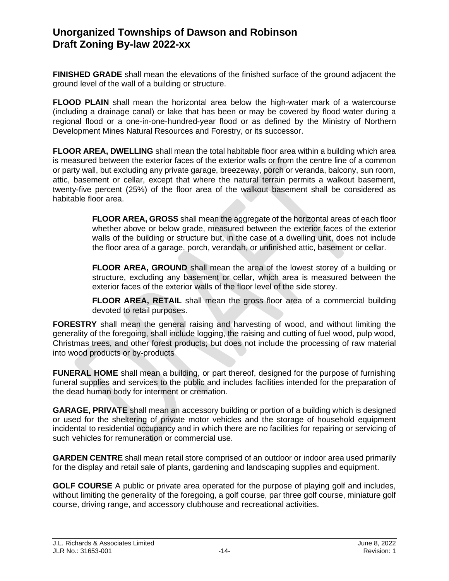**FINISHED GRADE** shall mean the elevations of the finished surface of the ground adjacent the ground level of the wall of a building or structure.

**FLOOD PLAIN** shall mean the horizontal area below the high-water mark of a watercourse (including a drainage canal) or lake that has been or may be covered by flood water during a regional flood or a one-in-one-hundred-year flood or as defined by the Ministry of Northern Development Mines Natural Resources and Forestry, or its successor.

**FLOOR AREA, DWELLING** shall mean the total habitable floor area within a building which area is measured between the exterior faces of the exterior walls or from the centre line of a common or party wall, but excluding any private garage, breezeway, porch or veranda, balcony, sun room, attic, basement or cellar, except that where the natural terrain permits a walkout basement, twenty-five percent (25%) of the floor area of the walkout basement shall be considered as habitable floor area.

> **FLOOR AREA, GROSS** shall mean the aggregate of the horizontal areas of each floor whether above or below grade, measured between the exterior faces of the exterior walls of the building or structure but, in the case of a dwelling unit, does not include the floor area of a garage, porch, verandah, or unfinished attic, basement or cellar.

> **FLOOR AREA, GROUND** shall mean the area of the lowest storey of a building or structure, excluding any basement or cellar, which area is measured between the exterior faces of the exterior walls of the floor level of the side storey.

> **FLOOR AREA, RETAIL** shall mean the gross floor area of a commercial building devoted to retail purposes.

**FORESTRY** shall mean the general raising and harvesting of wood, and without limiting the generality of the foregoing, shall include logging, the raising and cutting of fuel wood, pulp wood, Christmas trees, and other forest products; but does not include the processing of raw material into wood products or by-products

**FUNERAL HOME** shall mean a building, or part thereof, designed for the purpose of furnishing funeral supplies and services to the public and includes facilities intended for the preparation of the dead human body for interment or cremation.

**GARAGE, PRIVATE** shall mean an accessory building or portion of a building which is designed or used for the sheltering of private motor vehicles and the storage of household equipment incidental to residential occupancy and in which there are no facilities for repairing or servicing of such vehicles for remuneration or commercial use.

**GARDEN CENTRE** shall mean retail store comprised of an outdoor or indoor area used primarily for the display and retail sale of plants, gardening and landscaping supplies and equipment.

**GOLF COURSE** A public or private area operated for the purpose of playing golf and includes, without limiting the generality of the foregoing, a golf course, par three golf course, miniature golf course, driving range, and accessory clubhouse and recreational activities.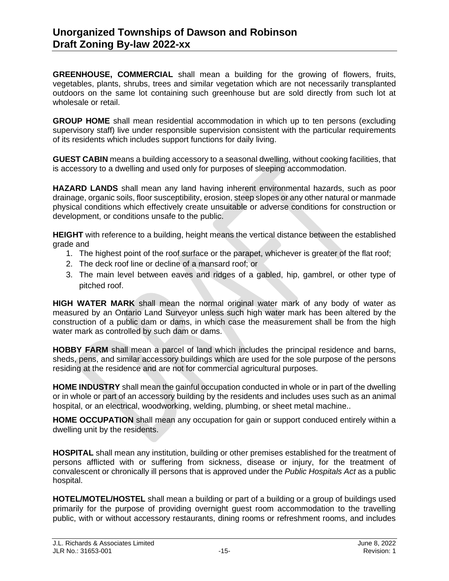**GREENHOUSE, COMMERCIAL** shall mean a building for the growing of flowers, fruits, vegetables, plants, shrubs, trees and similar vegetation which are not necessarily transplanted outdoors on the same lot containing such greenhouse but are sold directly from such lot at wholesale or retail.

**GROUP HOME** shall mean residential accommodation in which up to ten persons (excluding supervisory staff) live under responsible supervision consistent with the particular requirements of its residents which includes support functions for daily living.

**GUEST CABIN** means a building accessory to a seasonal dwelling, without cooking facilities, that is accessory to a dwelling and used only for purposes of sleeping accommodation.

**HAZARD LANDS** shall mean any land having inherent environmental hazards, such as poor drainage, organic soils, floor susceptibility, erosion, steep slopes or any other natural or manmade physical conditions which effectively create unsuitable or adverse conditions for construction or development, or conditions unsafe to the public.

**HEIGHT** with reference to a building, height means the vertical distance between the established grade and

- 1. The highest point of the roof surface or the parapet, whichever is greater of the flat roof;
- 2. The deck roof line or decline of a mansard roof; or
- 3. The main level between eaves and ridges of a gabled, hip, gambrel, or other type of pitched roof.

**HIGH WATER MARK** shall mean the normal original water mark of any body of water as measured by an Ontario Land Surveyor unless such high water mark has been altered by the construction of a public dam or dams, in which case the measurement shall be from the high water mark as controlled by such dam or dams.

**HOBBY FARM** shall mean a parcel of land which includes the principal residence and barns, sheds, pens, and similar accessory buildings which are used for the sole purpose of the persons residing at the residence and are not for commercial agricultural purposes.

**HOME INDUSTRY** shall mean the gainful occupation conducted in whole or in part of the dwelling or in whole or part of an accessory building by the residents and includes uses such as an animal hospital, or an electrical, woodworking, welding, plumbing, or sheet metal machine..

**HOME OCCUPATION** shall mean any occupation for gain or support conduced entirely within a dwelling unit by the residents.

**HOSPITAL** shall mean any institution, building or other premises established for the treatment of persons afflicted with or suffering from sickness, disease or injury, for the treatment of convalescent or chronically ill persons that is approved under the *Public Hospitals Act* as a public hospital.

**HOTEL/MOTEL/HOSTEL** shall mean a building or part of a building or a group of buildings used primarily for the purpose of providing overnight guest room accommodation to the travelling public, with or without accessory restaurants, dining rooms or refreshment rooms, and includes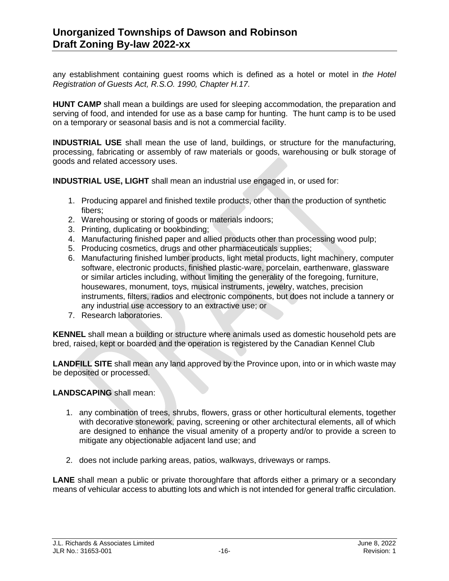any establishment containing guest rooms which is defined as a hotel or motel in *[the Hotel](https://www.ontario.ca/laws/statute/90h17)  [Registration of Guests Act, R.S.O. 1990, Chapter H.17.](https://www.ontario.ca/laws/statute/90h17)*

**HUNT CAMP** shall mean a buildings are used for sleeping accommodation, the preparation and serving of food, and intended for use as a base camp for hunting. The hunt camp is to be used on a temporary or seasonal basis and is not a commercial facility.

**INDUSTRIAL USE** shall mean the use of land, buildings, or structure for the manufacturing, processing, fabricating or assembly of raw materials or goods, warehousing or bulk storage of goods and related accessory uses.

**INDUSTRIAL USE, LIGHT** shall mean an industrial use engaged in, or used for:

- 1. Producing apparel and finished textile products, other than the production of synthetic fibers;
- 2. Warehousing or storing of goods or materials indoors;
- 3. Printing, duplicating or bookbinding;
- 4. Manufacturing finished paper and allied products other than processing wood pulp;
- 5. Producing cosmetics, drugs and other pharmaceuticals supplies;
- 6. Manufacturing finished lumber products, light metal products, light machinery, computer software, electronic products, finished plastic-ware, porcelain, earthenware, glassware or similar articles including, without limiting the generality of the foregoing, furniture, housewares, monument, toys, musical instruments, jewelry, watches, precision instruments, filters, radios and electronic components, but does not include a tannery or any industrial use accessory to an extractive use; or
- 7. Research laboratories.

**KENNEL** shall mean a building or structure where animals used as domestic household pets are bred, raised, kept or boarded and the operation is registered by the Canadian Kennel Club

**LANDFILL SITE** shall mean any land approved by the Province upon, into or in which waste may be deposited or processed.

**LANDSCAPING** shall mean:

- 1. any combination of trees, shrubs, flowers, grass or other horticultural elements, together with decorative stonework, paving, screening or other architectural elements, all of which are designed to enhance the visual amenity of a property and/or to provide a screen to mitigate any objectionable adjacent land use; and
- 2. does not include parking areas, patios, walkways, driveways or ramps.

**LANE** shall mean a public or private thoroughfare that affords either a primary or a secondary means of vehicular access to abutting lots and which is not intended for general traffic circulation.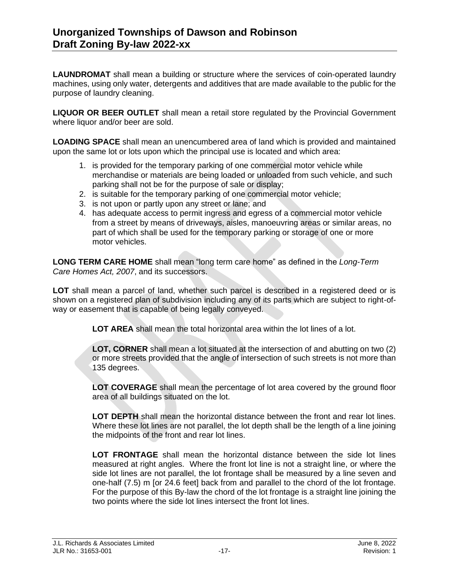**LAUNDROMAT** shall mean a building or structure where the services of coin-operated laundry machines, using only water, detergents and additives that are made available to the public for the purpose of laundry cleaning.

**LIQUOR OR BEER OUTLET** shall mean a retail store regulated by the Provincial Government where liquor and/or beer are sold.

**LOADING SPACE** shall mean an unencumbered area of land which is provided and maintained upon the same lot or lots upon which the principal use is located and which area:

- 1. is provided for the temporary parking of one commercial motor vehicle while merchandise or materials are being loaded or unloaded from such vehicle, and such parking shall not be for the purpose of sale or display;
- 2. is suitable for the temporary parking of one commercial motor vehicle;
- 3. is not upon or partly upon any street or lane; and
- 4. has adequate access to permit ingress and egress of a commercial motor vehicle from a street by means of driveways, aisles, manoeuvring areas or similar areas, no part of which shall be used for the temporary parking or storage of one or more motor vehicles.

**LONG TERM CARE HOME** shall mean "long term care home" as defined in the *Long-Term Care Homes Act, 2007*, and its successors.

**LOT** shall mean a parcel of land, whether such parcel is described in a registered deed or is shown on a registered plan of subdivision including any of its parts which are subject to right-ofway or easement that is capable of being legally conveyed.

**LOT AREA** shall mean the total horizontal area within the lot lines of a lot.

**LOT, CORNER** shall mean a lot situated at the intersection of and abutting on two (2) or more streets provided that the angle of intersection of such streets is not more than 135 degrees.

**LOT COVERAGE** shall mean the percentage of lot area covered by the ground floor area of all buildings situated on the lot.

**LOT DEPTH** shall mean the horizontal distance between the front and rear lot lines. Where these lot lines are not parallel, the lot depth shall be the length of a line joining the midpoints of the front and rear lot lines.

**LOT FRONTAGE** shall mean the horizontal distance between the side lot lines measured at right angles. Where the front lot line is not a straight line, or where the side lot lines are not parallel, the lot frontage shall be measured by a line seven and one-half (7.5) m [or 24.6 feet] back from and parallel to the chord of the lot frontage. For the purpose of this By-law the chord of the lot frontage is a straight line joining the two points where the side lot lines intersect the front lot lines.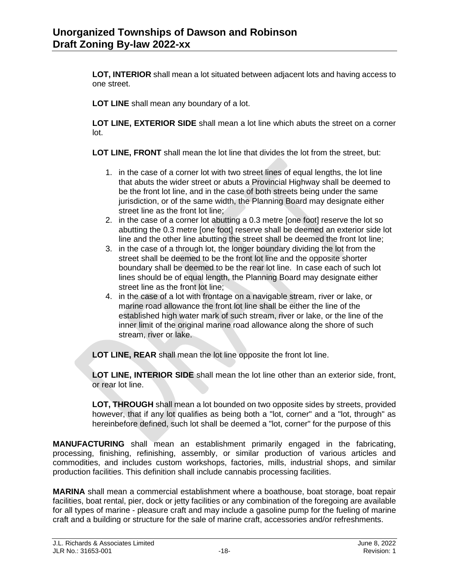**LOT, INTERIOR** shall mean a lot situated between adjacent lots and having access to one street.

**LOT LINE** shall mean any boundary of a lot.

**LOT LINE, EXTERIOR SIDE** shall mean a lot line which abuts the street on a corner lot.

**LOT LINE, FRONT** shall mean the lot line that divides the lot from the street, but:

- 1. in the case of a corner lot with two street lines of equal lengths, the lot line that abuts the wider street or abuts a Provincial Highway shall be deemed to be the front lot line, and in the case of both streets being under the same jurisdiction, or of the same width, the Planning Board may designate either street line as the front lot line:
- 2. in the case of a corner lot abutting a 0.3 metre [one foot] reserve the lot so abutting the 0.3 metre [one foot] reserve shall be deemed an exterior side lot line and the other line abutting the street shall be deemed the front lot line;
- 3. in the case of a through lot, the longer boundary dividing the lot from the street shall be deemed to be the front lot line and the opposite shorter boundary shall be deemed to be the rear lot line. In case each of such lot lines should be of equal length, the Planning Board may designate either street line as the front lot line;
- 4. in the case of a lot with frontage on a navigable stream, river or lake, or marine road allowance the front lot line shall be either the line of the established high water mark of such stream, river or lake, or the line of the inner limit of the original marine road allowance along the shore of such stream, river or lake.

**LOT LINE, REAR** shall mean the lot line opposite the front lot line.

**LOT LINE, INTERIOR SIDE** shall mean the lot line other than an exterior side, front, or rear lot line.

**LOT, THROUGH** shall mean a lot bounded on two opposite sides by streets, provided however, that if any lot qualifies as being both a "lot, corner" and a "lot, through" as hereinbefore defined, such lot shall be deemed a "lot, corner" for the purpose of this

**MANUFACTURING** shall mean an establishment primarily engaged in the fabricating, processing, finishing, refinishing, assembly, or similar production of various articles and commodities, and includes custom workshops, factories, mills, industrial shops, and similar production facilities. This definition shall include cannabis processing facilities.

**MARINA** shall mean a commercial establishment where a boathouse, boat storage, boat repair facilities, boat rental, pier, dock or jetty facilities or any combination of the foregoing are available for all types of marine - pleasure craft and may include a gasoline pump for the fueling of marine craft and a building or structure for the sale of marine craft, accessories and/or refreshments.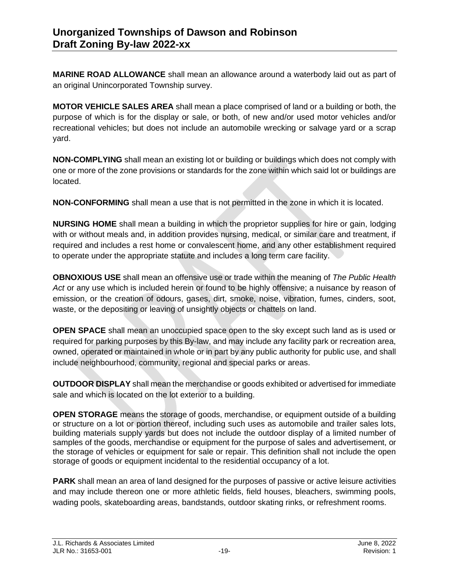**MARINE ROAD ALLOWANCE** shall mean an allowance around a waterbody laid out as part of an original Unincorporated Township survey.

**MOTOR VEHICLE SALES AREA** shall mean a place comprised of land or a building or both, the purpose of which is for the display or sale, or both, of new and/or used motor vehicles and/or recreational vehicles; but does not include an automobile wrecking or salvage yard or a scrap yard.

**NON-COMPLYING** shall mean an existing lot or building or buildings which does not comply with one or more of the zone provisions or standards for the zone within which said lot or buildings are located.

**NON-CONFORMING** shall mean a use that is not permitted in the zone in which it is located.

**NURSING HOME** shall mean a building in which the proprietor supplies for hire or gain, lodging with or without meals and, in addition provides nursing, medical, or similar care and treatment, if required and includes a rest home or convalescent home, and any other establishment required to operate under the appropriate statute and includes a long term care facility.

**OBNOXIOUS USE** shall mean an offensive use or trade within the meaning of *The Public Health Act* or any use which is included herein or found to be highly offensive; a nuisance by reason of emission, or the creation of odours, gases, dirt, smoke, noise, vibration, fumes, cinders, soot, waste, or the depositing or leaving of unsightly objects or chattels on land.

**OPEN SPACE** shall mean an unoccupied space open to the sky except such land as is used or required for parking purposes by this By-law, and may include any facility park or recreation area, owned, operated or maintained in whole or in part by any public authority for public use, and shall include neighbourhood, community, regional and special parks or areas.

**OUTDOOR DISPLAY** shall mean the merchandise or goods exhibited or advertised for immediate sale and which is located on the lot exterior to a building.

**OPEN STORAGE** means the storage of goods, merchandise, or equipment outside of a building or structure on a lot or portion thereof, including such uses as automobile and trailer sales lots, building materials supply yards but does not include the outdoor display of a limited number of samples of the goods, merchandise or equipment for the purpose of sales and advertisement, or the storage of vehicles or equipment for sale or repair. This definition shall not include the open storage of goods or equipment incidental to the residential occupancy of a lot.

**PARK** shall mean an area of land designed for the purposes of passive or active leisure activities and may include thereon one or more athletic fields, field houses, bleachers, swimming pools, wading pools, skateboarding areas, bandstands, outdoor skating rinks, or refreshment rooms.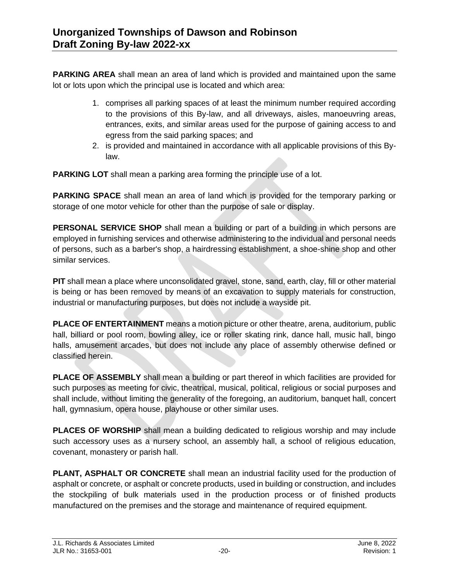**PARKING AREA** shall mean an area of land which is provided and maintained upon the same lot or lots upon which the principal use is located and which area:

- 1. comprises all parking spaces of at least the minimum number required according to the provisions of this By-law, and all driveways, aisles, manoeuvring areas, entrances, exits, and similar areas used for the purpose of gaining access to and egress from the said parking spaces; and
- 2. is provided and maintained in accordance with all applicable provisions of this Bylaw.

**PARKING LOT** shall mean a parking area forming the principle use of a lot.

**PARKING SPACE** shall mean an area of land which is provided for the temporary parking or storage of one motor vehicle for other than the purpose of sale or display.

**PERSONAL SERVICE SHOP** shall mean a building or part of a building in which persons are employed in furnishing services and otherwise administering to the individual and personal needs of persons, such as a barber's shop, a hairdressing establishment, a shoe-shine shop and other similar services.

**PIT** shall mean a place where unconsolidated gravel, stone, sand, earth, clay, fill or other material is being or has been removed by means of an excavation to supply materials for construction, industrial or manufacturing purposes, but does not include a wayside pit.

**PLACE OF ENTERTAINMENT** means a motion picture or other theatre, arena, auditorium, public hall, billiard or pool room, bowling alley, ice or roller skating rink, dance hall, music hall, bingo halls, amusement arcades, but does not include any place of assembly otherwise defined or classified herein.

**PLACE OF ASSEMBLY** shall mean a building or part thereof in which facilities are provided for such purposes as meeting for civic, theatrical, musical, political, religious or social purposes and shall include, without limiting the generality of the foregoing, an auditorium, banquet hall, concert hall, gymnasium, opera house, playhouse or other similar uses.

**PLACES OF WORSHIP** shall mean a building dedicated to religious worship and may include such accessory uses as a nursery school, an assembly hall, a school of religious education, covenant, monastery or parish hall.

**PLANT, ASPHALT OR CONCRETE** shall mean an industrial facility used for the production of asphalt or concrete, or asphalt or concrete products, used in building or construction, and includes the stockpiling of bulk materials used in the production process or of finished products manufactured on the premises and the storage and maintenance of required equipment.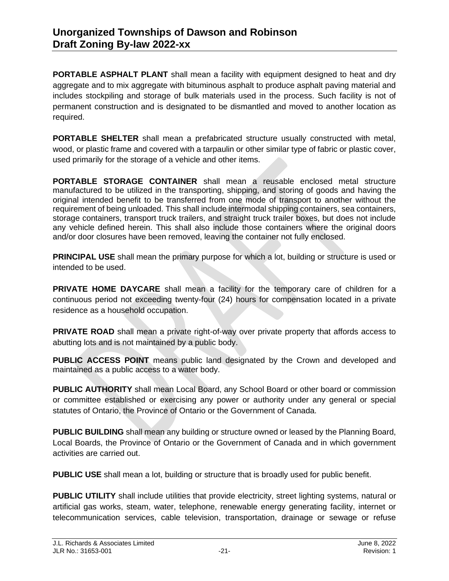**PORTABLE ASPHALT PLANT** shall mean a facility with equipment designed to heat and dry aggregate and to mix aggregate with bituminous asphalt to produce asphalt paving material and includes stockpiling and storage of bulk materials used in the process. Such facility is not of permanent construction and is designated to be dismantled and moved to another location as required.

**PORTABLE SHELTER** shall mean a prefabricated structure usually constructed with metal, wood, or plastic frame and covered with a tarpaulin or other similar type of fabric or plastic cover, used primarily for the storage of a vehicle and other items.

**PORTABLE STORAGE CONTAINER** shall mean a reusable enclosed metal structure manufactured to be utilized in the transporting, shipping, and storing of goods and having the original intended benefit to be transferred from one mode of transport to another without the requirement of being unloaded. This shall include intermodal shipping containers, sea containers, storage containers, transport truck trailers, and straight truck trailer boxes, but does not include any vehicle defined herein. This shall also include those containers where the original doors and/or door closures have been removed, leaving the container not fully enclosed.

**PRINCIPAL USE** shall mean the primary purpose for which a lot, building or structure is used or intended to be used.

**PRIVATE HOME DAYCARE** shall mean a facility for the temporary care of children for a continuous period not exceeding twenty-four (24) hours for compensation located in a private residence as a household occupation.

**PRIVATE ROAD** shall mean a private right-of-way over private property that affords access to abutting lots and is not maintained by a public body.

**PUBLIC ACCESS POINT** means public land designated by the Crown and developed and maintained as a public access to a water body.

**PUBLIC AUTHORITY** shall mean Local Board, any School Board or other board or commission or committee established or exercising any power or authority under any general or special statutes of Ontario, the Province of Ontario or the Government of Canada.

**PUBLIC BUILDING** shall mean any building or structure owned or leased by the Planning Board, Local Boards, the Province of Ontario or the Government of Canada and in which government activities are carried out.

**PUBLIC USE** shall mean a lot, building or structure that is broadly used for public benefit.

**PUBLIC UTILITY** shall include utilities that provide electricity, street lighting systems, natural or artificial gas works, steam, water, telephone, renewable energy generating facility, internet or telecommunication services, cable television, transportation, drainage or sewage or refuse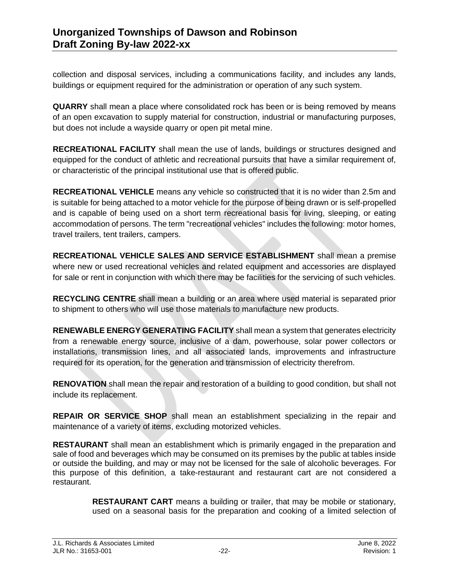collection and disposal services, including a communications facility, and includes any lands, buildings or equipment required for the administration or operation of any such system.

**QUARRY** shall mean a place where consolidated rock has been or is being removed by means of an open excavation to supply material for construction, industrial or manufacturing purposes, but does not include a wayside quarry or open pit metal mine.

**RECREATIONAL FACILITY** shall mean the use of lands, buildings or structures designed and equipped for the conduct of athletic and recreational pursuits that have a similar requirement of, or characteristic of the principal institutional use that is offered public.

**RECREATIONAL VEHICLE** means any vehicle so constructed that it is no wider than 2.5m and is suitable for being attached to a motor vehicle for the purpose of being drawn or is self-propelled and is capable of being used on a short term recreational basis for living, sleeping, or eating accommodation of persons. The term "recreational vehicles" includes the following: motor homes, travel trailers, tent trailers, campers.

**RECREATIONAL VEHICLE SALES AND SERVICE ESTABLISHMENT** shall mean a premise where new or used recreational vehicles and related equipment and accessories are displayed for sale or rent in conjunction with which there may be facilities for the servicing of such vehicles.

**RECYCLING CENTRE** shall mean a building or an area where used material is separated prior to shipment to others who will use those materials to manufacture new products.

**RENEWABLE ENERGY GENERATING FACILITY** shall mean a system that generates electricity from a renewable energy source, inclusive of a dam, powerhouse, solar power collectors or installations, transmission lines, and all associated lands, improvements and infrastructure required for its operation, for the generation and transmission of electricity therefrom.

**RENOVATION** shall mean the repair and restoration of a building to good condition, but shall not include its replacement.

**REPAIR OR SERVICE SHOP** shall mean an establishment specializing in the repair and maintenance of a variety of items, excluding motorized vehicles.

**RESTAURANT** shall mean an establishment which is primarily engaged in the preparation and sale of food and beverages which may be consumed on its premises by the public at tables inside or outside the building, and may or may not be licensed for the sale of alcoholic beverages. For this purpose of this definition, a take-restaurant and restaurant cart are not considered a restaurant.

> **RESTAURANT CART** means a building or trailer, that may be mobile or stationary, used on a seasonal basis for the preparation and cooking of a limited selection of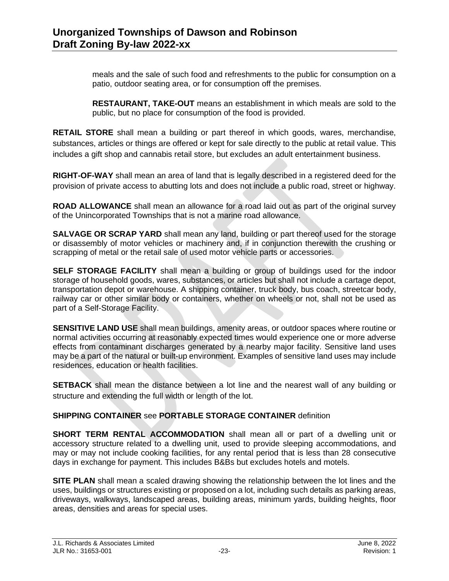meals and the sale of such food and refreshments to the public for consumption on a patio, outdoor seating area, or for consumption off the premises.

**RESTAURANT, TAKE-OUT** means an establishment in which meals are sold to the public, but no place for consumption of the food is provided.

**RETAIL STORE** shall mean a building or part thereof in which goods, wares, merchandise, substances, articles or things are offered or kept for sale directly to the public at retail value. This includes a gift shop and cannabis retail store, but excludes an adult entertainment business.

**RIGHT-OF-WAY** shall mean an area of land that is legally described in a registered deed for the provision of private access to abutting lots and does not include a public road, street or highway.

**ROAD ALLOWANCE** shall mean an allowance for a road laid out as part of the original survey of the Unincorporated Townships that is not a marine road allowance.

**SALVAGE OR SCRAP YARD** shall mean any land, building or part thereof used for the storage or disassembly of motor vehicles or machinery and, if in conjunction therewith the crushing or scrapping of metal or the retail sale of used motor vehicle parts or accessories.

**SELF STORAGE FACILITY** shall mean a building or group of buildings used for the indoor storage of household goods, wares, substances, or articles but shall not include a cartage depot, transportation depot or warehouse. A shipping container, truck body, bus coach, streetcar body, railway car or other similar body or containers, whether on wheels or not, shall not be used as part of a Self-Storage Facility.

**SENSITIVE LAND USE** shall mean buildings, amenity areas, or outdoor spaces where routine or normal activities occurring at reasonably expected times would experience one or more adverse effects from contaminant discharges generated by a nearby major facility. Sensitive land uses may be a part of the natural or built-up environment. Examples of sensitive land uses may include residences, education or health facilities.

**SETBACK** shall mean the distance between a lot line and the nearest wall of any building or structure and extending the full width or length of the lot.

#### **SHIPPING CONTAINER** see **PORTABLE STORAGE CONTAINER** definition

**SHORT TERM RENTAL ACCOMMODATION** shall mean all or part of a dwelling unit or accessory structure related to a dwelling unit, used to provide sleeping accommodations, and may or may not include cooking facilities, for any rental period that is less than 28 consecutive days in exchange for payment. This includes B&Bs but excludes hotels and motels.

**SITE PLAN** shall mean a scaled drawing showing the relationship between the lot lines and the uses, buildings or structures existing or proposed on a lot, including such details as parking areas, driveways, walkways, landscaped areas, building areas, minimum yards, building heights, floor areas, densities and areas for special uses.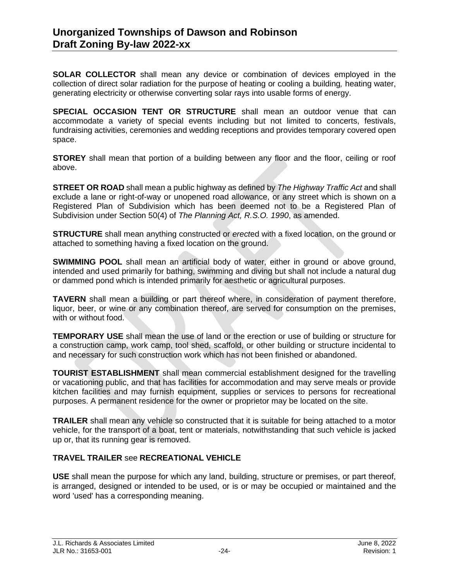**SOLAR COLLECTOR** shall mean any device or combination of devices employed in the collection of direct solar radiation for the purpose of heating or cooling a building*,* heating water, generating electricity or otherwise converting solar rays into usable forms of energy.

**SPECIAL OCCASION TENT OR STRUCTURE** shall mean an outdoor venue that can accommodate a variety of special events including but not limited to concerts, festivals, fundraising activities, ceremonies and wedding receptions and provides temporary covered open space.

**STOREY** shall mean that portion of a building between any floor and the floor, ceiling or roof above.

**STREET OR ROAD** shall mean a public highway as defined by *The Highway Traffic Act* and shall exclude a lane or right-of-way or unopened road allowance, or any street which is shown on a Registered Plan of Subdivision which has been deemed not to be a Registered Plan of Subdivision under Section 50(4) of *The Planning Act, R.S.O. 1990*, as amended.

**STRUCTURE** shall mean anything constructed or *erect*ed with a fixed location, on the ground or attached to something having a fixed location on the ground.

**SWIMMING POOL** shall mean an artificial body of water, either in ground or above ground, intended and used primarily for bathing, swimming and diving but shall not include a natural dug or dammed pond which is intended primarily for aesthetic or agricultural purposes.

**TAVERN** shall mean a building or part thereof where, in consideration of payment therefore, liquor, beer, or wine or any combination thereof, are served for consumption on the premises, with or without food.

**TEMPORARY USE** shall mean the use of land or the erection or use of building or structure for a construction camp, work camp, tool shed, scaffold, or other building or structure incidental to and necessary for such construction work which has not been finished or abandoned.

**TOURIST ESTABLISHMENT** shall mean commercial establishment designed for the travelling or vacationing public, and that has facilities for accommodation and may serve meals or provide kitchen facilities and may furnish equipment, supplies or services to persons for recreational purposes. A permanent residence for the owner or proprietor may be located on the site.

**TRAILER** shall mean any vehicle so constructed that it is suitable for being attached to a motor vehicle, for the transport of a boat, tent or materials, notwithstanding that such vehicle is jacked up or, that its running gear is removed.

#### **TRAVEL TRAILER** see **RECREATIONAL VEHICLE**

**USE** shall mean the purpose for which any land, building, structure or premises, or part thereof, is arranged, designed or intended to be used, or is or may be occupied or maintained and the word 'used' has a corresponding meaning.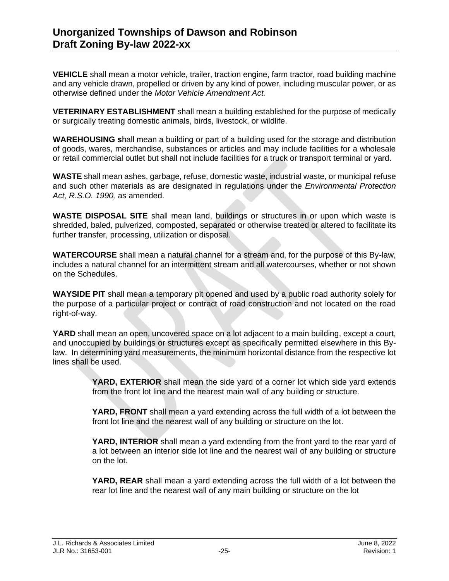**VEHICLE** shall mean a motor *ve*hicle, trailer, traction engine, farm tractor, road building machine and any vehicle drawn, propelled or driven by any kind of power, including muscular power, or as otherwise defined under the *Motor Vehicle Amendment Act.*

**VETERINARY ESTABLISHMENT** shall mean a building established for the purpose of medically or surgically treating domestic animals, birds, livestock, or wildlife.

**WAREHOUSING s**hall mean a building or part of a building used for the storage and distribution of goods, wares, merchandise, substances or articles and may include facilities for a wholesale or retail commercial outlet but shall not include facilities for a truck or transport terminal or yard.

**WASTE** shall mean ashes, garbage, refuse, domestic waste, industrial waste, or municipal refuse and such other materials as are designated in regulations under the *Environmental Protection Act, R.S.O. 1990,* as amended.

**WASTE DISPOSAL SITE** shall mean land, buildings or structures in or upon which waste is shredded, baled, pulverized, composted, separated or otherwise treated or altered to facilitate its further transfer, processing, utilization or disposal.

**WATERCOURSE** shall mean a natural channel for a stream and, for the purpose of this By-law, includes a natural channel for an intermittent stream and all watercourses, whether or not shown on the Schedules.

**WAYSIDE PIT** shall mean a temporary pit opened and used by a public road authority solely for the purpose of a particular project or contract of road construction and not located on the road right-of-way.

**YARD** shall mean an open, uncovered space on a lot adjacent to a main building, except a court, and unoccupied by buildings or structures except as specifically permitted elsewhere in this Bylaw. In determining yard measurements, the minimum horizontal distance from the respective lot lines shall be used.

> **YARD, EXTERIOR** shall mean the side yard of a corner lot which side yard extends from the front lot line and the nearest main wall of any building or structure.

> **YARD, FRONT** shall mean a yard extending across the full width of a lot between the front lot line and the nearest wall of any building or structure on the lot.

> **YARD, INTERIOR** shall mean a yard extending from the front yard to the rear yard of a lot between an interior side lot line and the nearest wall of any building or structure on the lot.

> **YARD, REAR** shall mean a yard extending across the full width of a lot between the rear lot line and the nearest wall of any main building or structure on the lot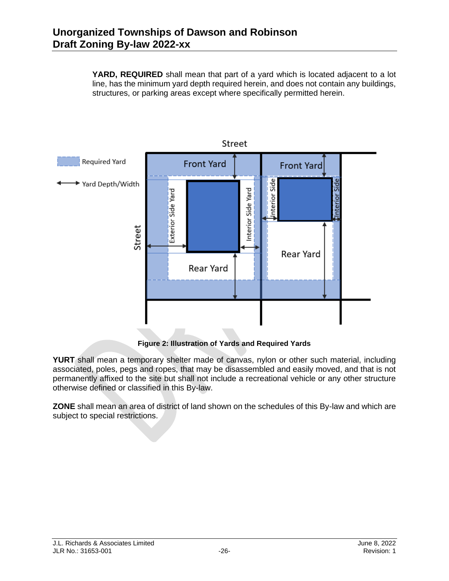**YARD, REQUIRED** shall mean that part of a yard which is located adjacent to a lot line, has the minimum yard depth required herein, and does not contain any buildings, structures, or parking areas except where specifically permitted herein.



**YURT** shall mean a temporary shelter made of canvas, nylon or other such material, including associated, poles, pegs and ropes, that may be disassembled and easily moved, and that is not permanently affixed to the site but shall not include a recreational vehicle or any other structure otherwise defined or classified in this By-law.

**ZONE** shall mean an area of district of land shown on the schedules of this By-law and which are subject to special restrictions.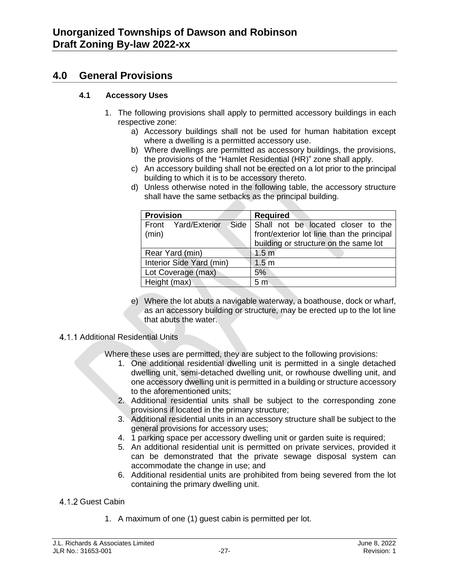## **4.0 General Provisions**

#### **4.1 Accessory Uses**

- 1. The following provisions shall apply to permitted accessory buildings in each respective zone:
	- a) Accessory buildings shall not be used for human habitation except where a dwelling is a permitted accessory use.
	- b) Where dwellings are permitted as accessory buildings, the provisions, the provisions of the "Hamlet Residential (HR)" zone shall apply.
	- c) An accessory building shall not be erected on a lot prior to the principal building to which it is to be accessory thereto.
	- d) Unless otherwise noted in the following table, the accessory structure shall have the same setbacks as the principal building.

| <b>Provision</b>         | <b>Required</b>                            |  |
|--------------------------|--------------------------------------------|--|
| Front Yard/Exterior      | Side Shall not be located closer to the    |  |
| (min)                    | front/exterior lot line than the principal |  |
|                          | building or structure on the same lot      |  |
| Rear Yard (min)          | 1.5 <sub>m</sub>                           |  |
| Interior Side Yard (min) | 1.5 <sub>m</sub>                           |  |
| Lot Coverage (max)       | 5%                                         |  |
| Height (max)             | 5 <sub>m</sub>                             |  |

e) Where the lot abuts a navigable waterway, a boathouse, dock or wharf, as an accessory building or structure, may be erected up to the lot line that abuts the water.

#### 4.1.1 Additional Residential Units

Where these uses are permitted, they are subject to the following provisions:

- 1. One additional residential dwelling unit is permitted in a single detached dwelling unit, semi-detached dwelling unit, or rowhouse dwelling unit, and one accessory dwelling unit is permitted in a building or structure accessory to the aforementioned units;
- 2. Additional residential units shall be subject to the corresponding zone provisions if located in the primary structure;
- 3. Additional residential units in an accessory structure shall be subject to the general provisions for accessory uses;
- 4. 1 parking space per accessory dwelling unit or garden suite is required;
- 5. An additional residential unit is permitted on private services, provided it can be demonstrated that the private sewage disposal system can accommodate the change in use; and
- 6. Additional residential units are prohibited from being severed from the lot containing the primary dwelling unit.

## 4.1.2 Guest Cabin

1. A maximum of one (1) guest cabin is permitted per lot.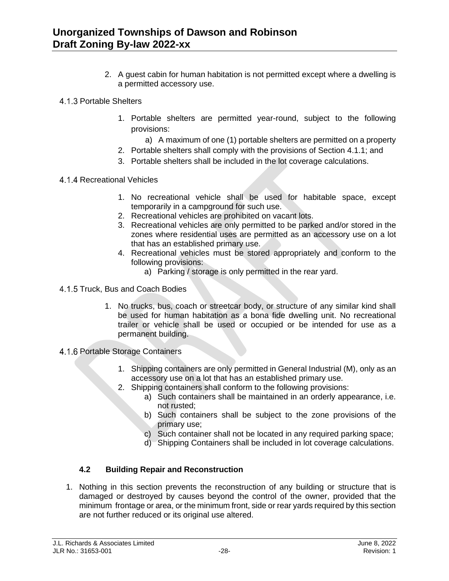- 2. A guest cabin for human habitation is not permitted except where a dwelling is a permitted accessory use.
- 4.1.3 Portable Shelters
	- 1. Portable shelters are permitted year-round, subject to the following provisions:
		- a) A maximum of one (1) portable shelters are permitted on a property
	- 2. Portable shelters shall comply with the provisions of Section 4.1.1; and
	- 3. Portable shelters shall be included in the lot coverage calculations.
- 4.1.4 Recreational Vehicles
	- 1. No recreational vehicle shall be used for habitable space, except temporarily in a campground for such use.
	- 2. Recreational vehicles are prohibited on vacant lots.
	- 3. Recreational vehicles are only permitted to be parked and/or stored in the zones where residential uses are permitted as an accessory use on a lot that has an established primary use.
	- 4. Recreational vehicles must be stored appropriately and conform to the following provisions:
		- a) Parking / storage is only permitted in the rear yard.
- 4.1.5 Truck, Bus and Coach Bodies
	- 1. No trucks, bus, coach or streetcar body, or structure of any similar kind shall be used for human habitation as a bona fide dwelling unit. No recreational trailer or vehicle shall be used or occupied or be intended for use as a permanent building.
- 4.1.6 Portable Storage Containers
	- 1. Shipping containers are only permitted in General Industrial (M), only as an accessory use on a lot that has an established primary use.
	- 2. Shipping containers shall conform to the following provisions:
		- a) Such containers shall be maintained in an orderly appearance, i.e. not rusted;
		- b) Such containers shall be subject to the zone provisions of the primary use;
		- c) Such container shall not be located in any required parking space;
		- d) Shipping Containers shall be included in lot coverage calculations.

#### **4.2 Building Repair and Reconstruction**

1. Nothing in this section prevents the reconstruction of any building or structure that is damaged or destroyed by causes beyond the control of the owner, provided that the minimum frontage or area, or the minimum front, side or rear yards required by this section are not further reduced or its original use altered.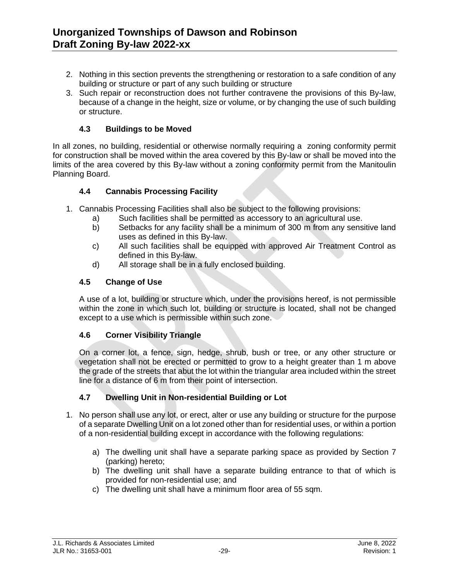- 2. Nothing in this section prevents the strengthening or restoration to a safe condition of any building or structure or part of any such building or structure
- 3. Such repair or reconstruction does not further contravene the provisions of this By-law, because of a change in the height, size or volume, or by changing the use of such building or structure.

#### **4.3 Buildings to be Moved**

In all zones, no building, residential or otherwise normally requiring a zoning conformity permit for construction shall be moved within the area covered by this By-law or shall be moved into the limits of the area covered by this By-law without a zoning conformity permit from the Manitoulin Planning Board.

#### **4.4 Cannabis Processing Facility**

- 1. Cannabis Processing Facilities shall also be subject to the following provisions:
	- a) Such facilities shall be permitted as accessory to an agricultural use.
	- b) Setbacks for any facility shall be a minimum of 300 m from any sensitive land uses as defined in this By-law.
	- c) All such facilities shall be equipped with approved Air Treatment Control as defined in this By-law.
	- d) All storage shall be in a fully enclosed building.

#### **4.5 Change of Use**

A use of a lot, building or structure which, under the provisions hereof, is not permissible within the zone in which such lot, building or structure is located, shall not be changed except to a use which is permissible within such zone.

#### **4.6 Corner Visibility Triangle**

On a corner lot, a fence, sign, hedge, shrub, bush or tree, or any other structure or vegetation shall not be erected or permitted to grow to a height greater than 1 m above the grade of the streets that abut the lot within the triangular area included within the street line for a distance of 6 m from their point of intersection.

#### **4.7 Dwelling Unit in Non-residential Building or Lot**

- 1. No person shall use any lot, or erect, alter or use any building or structure for the purpose of a separate Dwelling Unit on a lot zoned other than for residential uses, or within a portion of a non-residential building except in accordance with the following regulations:
	- a) The dwelling unit shall have a separate parking space as provided by Section 7 (parking) hereto;
	- b) The dwelling unit shall have a separate building entrance to that of which is provided for non-residential use; and
	- c) The dwelling unit shall have a minimum floor area of 55 sqm.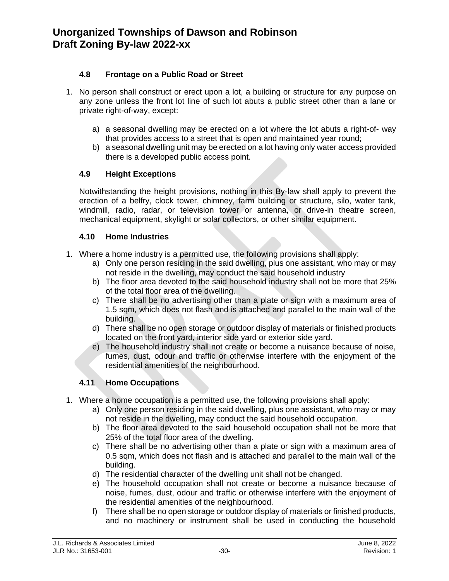#### **4.8 Frontage on a Public Road or Street**

- 1. No person shall construct or erect upon a lot, a building or structure for any purpose on any zone unless the front lot line of such lot abuts a public street other than a lane or private right-of-way, except:
	- a) a seasonal dwelling may be erected on a lot where the lot abuts a right-of- way that provides access to a street that is open and maintained year round;
	- b) a seasonal dwelling unit may be erected on a lot having only water access provided there is a developed public access point.

#### **4.9 Height Exceptions**

Notwithstanding the height provisions, nothing in this By-law shall apply to prevent the erection of a belfry, clock tower, chimney, farm building or structure, silo, water tank, windmill, radio, radar, or television tower or antenna, or drive-in theatre screen, mechanical equipment, skylight or solar collectors, or other similar equipment.

#### **4.10 Home Industries**

- 1. Where a home industry is a permitted use, the following provisions shall apply:
	- a) Only one person residing in the said dwelling, plus one assistant, who may or may not reside in the dwelling, may conduct the said household industry
	- b) The floor area devoted to the said household industry shall not be more that 25% of the total floor area of the dwelling.
	- c) There shall be no advertising other than a plate or sign with a maximum area of 1.5 sqm, which does not flash and is attached and parallel to the main wall of the building.
	- d) There shall be no open storage or outdoor display of materials or finished products located on the front yard, interior side yard or exterior side yard.
	- e) The household industry shall not create or become a nuisance because of noise, fumes, dust, odour and traffic or otherwise interfere with the enjoyment of the residential amenities of the neighbourhood.

#### **4.11 Home Occupations**

- 1. Where a home occupation is a permitted use, the following provisions shall apply:
	- a) Only one person residing in the said dwelling, plus one assistant, who may or may not reside in the dwelling, may conduct the said household occupation.
	- b) The floor area devoted to the said household occupation shall not be more that 25% of the total floor area of the dwelling.
	- c) There shall be no advertising other than a plate or sign with a maximum area of 0.5 sqm, which does not flash and is attached and parallel to the main wall of the building.
	- d) The residential character of the dwelling unit shall not be changed.
	- e) The household occupation shall not create or become a nuisance because of noise, fumes, dust, odour and traffic or otherwise interfere with the enjoyment of the residential amenities of the neighbourhood.
	- f) There shall be no open storage or outdoor display of materials or finished products, and no machinery or instrument shall be used in conducting the household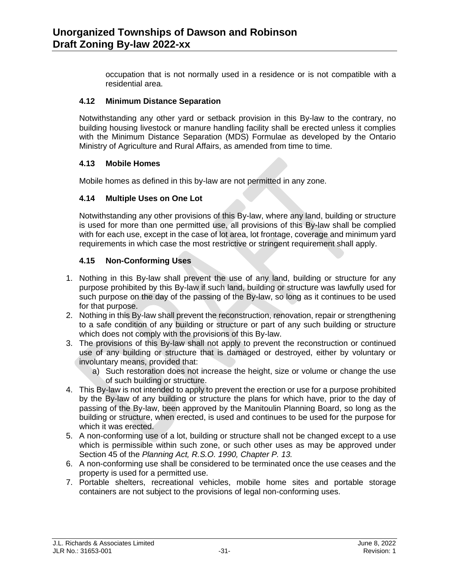occupation that is not normally used in a residence or is not compatible with a residential area.

#### **4.12 Minimum Distance Separation**

Notwithstanding any other yard or setback provision in this By-law to the contrary, no building housing livestock or manure handling facility shall be erected unless it complies with the Minimum Distance Separation (MDS) Formulae as developed by the Ontario Ministry of Agriculture and Rural Affairs, as amended from time to time.

#### **4.13 Mobile Homes**

Mobile homes as defined in this by-law are not permitted in any zone.

#### **4.14 Multiple Uses on One Lot**

Notwithstanding any other provisions of this By-law, where any land, building or structure is used for more than one permitted use, all provisions of this By-law shall be complied with for each use, except in the case of lot area, lot frontage, coverage and minimum yard requirements in which case the most restrictive or stringent requirement shall apply.

#### **4.15 Non-Conforming Uses**

- 1. Nothing in this By-law shall prevent the use of any land, building or structure for any purpose prohibited by this By-law if such land, building or structure was lawfully used for such purpose on the day of the passing of the By-law, so long as it continues to be used for that purpose.
- 2. Nothing in this By-law shall prevent the reconstruction, renovation, repair or strengthening to a safe condition of any building or structure or part of any such building or structure which does not comply with the provisions of this By-law.
- 3. The provisions of this By-law shall not apply to prevent the reconstruction or continued use of any building or structure that is damaged or destroyed, either by voluntary or involuntary means, provided that:
	- a) Such restoration does not increase the height, size or volume or change the use of such building or structure.
- 4. This By-law is not intended to apply to prevent the erection or use for a purpose prohibited by the By-law of any building or structure the plans for which have, prior to the day of passing of the By-law, been approved by the Manitoulin Planning Board, so long as the building or structure, when erected, is used and continues to be used for the purpose for which it was erected.
- 5. A non-conforming use of a lot, building or structure shall not be changed except to a use which is permissible within such zone, or such other uses as may be approved under Section 45 of the *Planning Act, R.S.O. 1990, Chapter P. 13.*
- 6. A non-conforming use shall be considered to be terminated once the use ceases and the property is used for a permitted use.
- 7. Portable shelters, recreational vehicles, mobile home sites and portable storage containers are not subject to the provisions of legal non-conforming uses.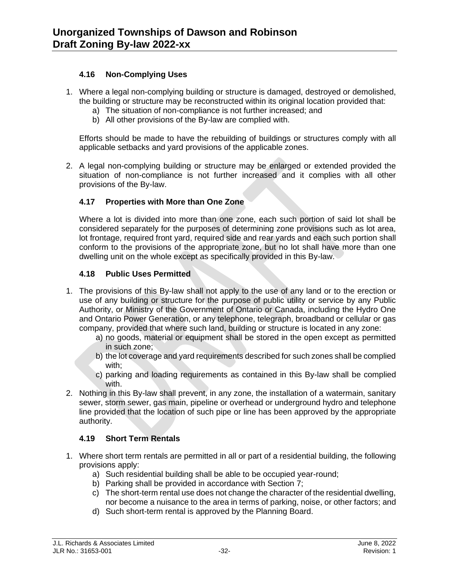#### **4.16 Non-Complying Uses**

- 1. Where a legal non-complying building or structure is damaged, destroyed or demolished, the building or structure may be reconstructed within its original location provided that:
	- a) The situation of non-compliance is not further increased; and
	- b) All other provisions of the By-law are complied with.

Efforts should be made to have the rebuilding of buildings or structures comply with all applicable setbacks and yard provisions of the applicable zones.

2. A legal non-complying building or structure may be enlarged or extended provided the situation of non-compliance is not further increased and it complies with all other provisions of the By-law.

#### **4.17 Properties with More than One Zone**

Where a lot is divided into more than one zone, each such portion of said lot shall be considered separately for the purposes of determining zone provisions such as lot area, lot frontage, required front yard, required side and rear yards and each such portion shall conform to the provisions of the appropriate zone, but no lot shall have more than one dwelling unit on the whole except as specifically provided in this By-law.

#### **4.18 Public Uses Permitted**

- 1. The provisions of this By-law shall not apply to the use of any land or to the erection or use of any building or structure for the purpose of public utility or service by any Public Authority, or Ministry of the Government of Ontario or Canada, including the Hydro One and Ontario Power Generation, or any telephone, telegraph, broadband or cellular or gas company, provided that where such land, building or structure is located in any zone:
	- a) no goods, material or equipment shall be stored in the open except as permitted in such zone;
	- b) the lot coverage and yard requirements described for such zones shall be complied with;
	- c) parking and loading requirements as contained in this By-law shall be complied with.
- 2. Nothing in this By-law shall prevent, in any zone, the installation of a watermain, sanitary sewer, storm sewer, gas main, pipeline or overhead or underground hydro and telephone line provided that the location of such pipe or line has been approved by the appropriate authority.

#### **4.19 Short Term Rentals**

- 1. Where short term rentals are permitted in all or part of a residential building, the following provisions apply:
	- a) Such residential building shall be able to be occupied year-round;
	- b) Parking shall be provided in accordance with Section 7;
	- c) The short-term rental use does not change the character of the residential dwelling, nor become a nuisance to the area in terms of parking, noise, or other factors; and
	- d) Such short-term rental is approved by the Planning Board.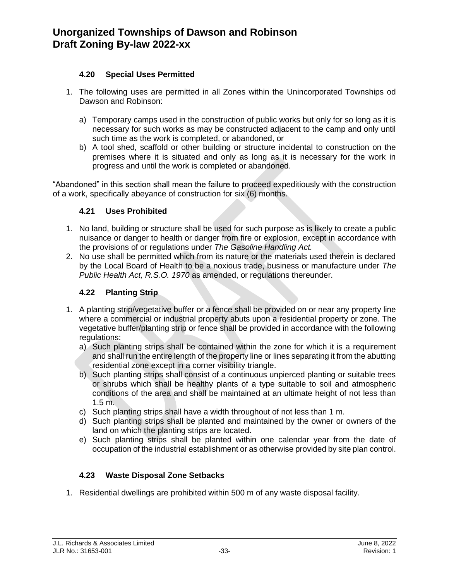#### **4.20 Special Uses Permitted**

- 1. The following uses are permitted in all Zones within the Unincorporated Townships od Dawson and Robinson:
	- a) Temporary camps used in the construction of public works but only for so long as it is necessary for such works as may be constructed adjacent to the camp and only until such time as the work is completed, or abandoned, or
	- b) A tool shed, scaffold or other building or structure incidental to construction on the premises where it is situated and only as long as it is necessary for the work in progress and until the work is completed or abandoned.

"Abandoned" in this section shall mean the failure to proceed expeditiously with the construction of a work, specifically abeyance of construction for six (6) months.

#### **4.21 Uses Prohibited**

- 1. No land, building or structure shall be used for such purpose as is likely to create a public nuisance or danger to health or danger from fire or explosion, except in accordance with the provisions of or regulations under *The Gasoline Handling Act.*
- 2. No use shall be permitted which from its nature or the materials used therein is declared by the Local Board of Health to be a noxious trade, business or manufacture under *The Public Health Act, R.S.O. 1970* as amended, or regulations thereunder.

#### **4.22 Planting Strip**

- 1. A planting strip/vegetative buffer or a fence shall be provided on or near any property line where a commercial or industrial property abuts upon a residential property or zone. The vegetative buffer/planting strip or fence shall be provided in accordance with the following regulations:
	- a) Such planting strips shall be contained within the zone for which it is a requirement and shall run the entire length of the property line or lines separating it from the abutting residential zone except in a corner visibility triangle.
	- b) Such planting strips shall consist of a continuous unpierced planting or suitable trees or shrubs which shall be healthy plants of a type suitable to soil and atmospheric conditions of the area and shall be maintained at an ultimate height of not less than 1.5 m.
	- c) Such planting strips shall have a width throughout of not less than 1 m.
	- d) Such planting strips shall be planted and maintained by the owner or owners of the land on which the planting strips are located.
	- e) Such planting strips shall be planted within one calendar year from the date of occupation of the industrial establishment or as otherwise provided by site plan control.

#### **4.23 Waste Disposal Zone Setbacks**

1. Residential dwellings are prohibited within 500 m of any waste disposal facility.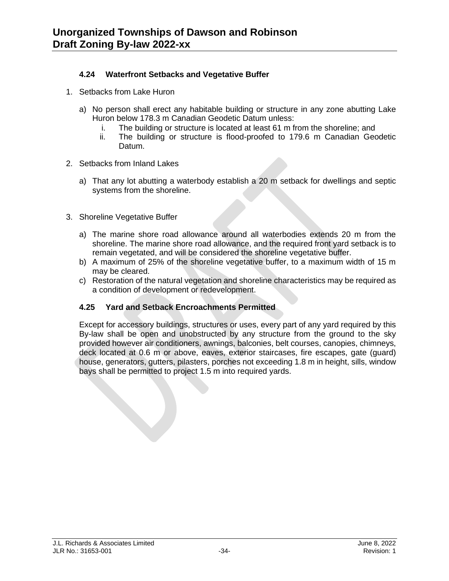#### **4.24 Waterfront Setbacks and Vegetative Buffer**

- 1. Setbacks from Lake Huron
	- a) No person shall erect any habitable building or structure in any zone abutting Lake Huron below 178.3 m Canadian Geodetic Datum unless:
		- i. The building or structure is located at least 61 m from the shoreline; and
		- ii. The building or structure is flood-proofed to 179.6 m Canadian Geodetic Datum.
- 2. Setbacks from Inland Lakes
	- a) That any lot abutting a waterbody establish a 20 m setback for dwellings and septic systems from the shoreline.
- 3. Shoreline Vegetative Buffer
	- a) The marine shore road allowance around all waterbodies extends 20 m from the shoreline. The marine shore road allowance, and the required front yard setback is to remain vegetated, and will be considered the shoreline vegetative buffer.
	- b) A maximum of 25% of the shoreline vegetative buffer, to a maximum width of 15 m may be cleared.
	- c) Restoration of the natural vegetation and shoreline characteristics may be required as a condition of development or redevelopment.

#### **4.25 Yard and Setback Encroachments Permitted**

Except for accessory buildings, structures or uses, every part of any yard required by this By-law shall be open and unobstructed by any structure from the ground to the sky provided however air conditioners, awnings, balconies, belt courses, canopies, chimneys, deck located at 0.6 m or above, eaves, exterior staircases, fire escapes, gate (guard) house, generators, gutters, pilasters, porches not exceeding 1.8 m in height, sills, window bays shall be permitted to project 1.5 m into required yards.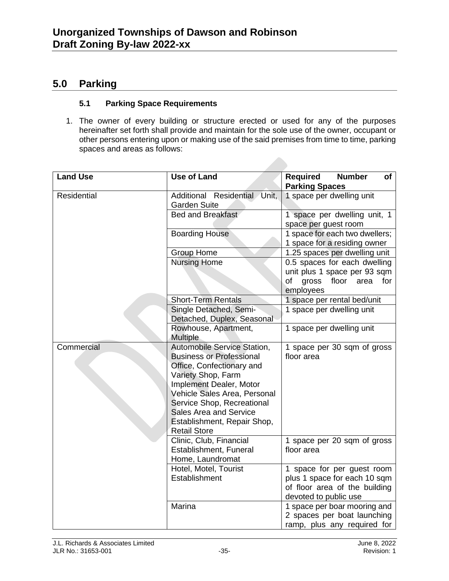## **5.0 Parking**

#### **5.1 Parking Space Requirements**

1. The owner of every building or structure erected or used for any of the purposes hereinafter set forth shall provide and maintain for the sole use of the owner, occupant or other persons entering upon or making use of the said premises from time to time, parking spaces and areas as follows:

| <b>Land Use</b> | <b>Use of Land</b>                                                                                                                                                                                                                                                                                | Required<br><b>Number</b><br>of<br><b>Parking Spaces</b>                                                             |
|-----------------|---------------------------------------------------------------------------------------------------------------------------------------------------------------------------------------------------------------------------------------------------------------------------------------------------|----------------------------------------------------------------------------------------------------------------------|
| Residential     | Additional Residential Unit,<br><b>Garden Suite</b>                                                                                                                                                                                                                                               | 1 space per dwelling unit                                                                                            |
|                 | Bed and Breakfast                                                                                                                                                                                                                                                                                 | 1 space per dwelling unit, 1<br>space per guest room                                                                 |
|                 | <b>Boarding House</b>                                                                                                                                                                                                                                                                             | 1 space for each two dwellers;<br>1 space for a residing owner                                                       |
|                 | <b>Group Home</b>                                                                                                                                                                                                                                                                                 | 1.25 spaces per dwelling unit                                                                                        |
|                 | <b>Nursing Home</b>                                                                                                                                                                                                                                                                               | 0.5 spaces for each dwelling<br>unit plus 1 space per 93 sqm<br>gross<br>floor<br>of<br>area<br>for<br>employees     |
|                 | <b>Short-Term Rentals</b>                                                                                                                                                                                                                                                                         | 1 space per rental bed/unit                                                                                          |
|                 | Single Detached, Semi-<br>Detached, Duplex, Seasonal                                                                                                                                                                                                                                              | 1 space per dwelling unit                                                                                            |
|                 | Rowhouse, Apartment,<br><b>Multiple</b>                                                                                                                                                                                                                                                           | 1 space per dwelling unit                                                                                            |
| Commercial      | Automobile Service Station,<br><b>Business or Professional</b><br>Office, Confectionary and<br>Variety Shop, Farm<br>Implement Dealer, Motor<br>Vehicle Sales Area, Personal<br>Service Shop, Recreational<br><b>Sales Area and Service</b><br>Establishment, Repair Shop,<br><b>Retail Store</b> | 1 space per 30 sqm of gross<br>floor area                                                                            |
|                 | Clinic, Club, Financial<br>Establishment, Funeral<br>Home, Laundromat                                                                                                                                                                                                                             | 1 space per 20 sqm of gross<br>floor area                                                                            |
|                 | Hotel, Motel, Tourist<br>Establishment                                                                                                                                                                                                                                                            | 1 space for per guest room<br>plus 1 space for each 10 sqm<br>of floor area of the building<br>devoted to public use |
|                 | Marina                                                                                                                                                                                                                                                                                            | 1 space per boar mooring and<br>2 spaces per boat launching<br>ramp, plus any required for                           |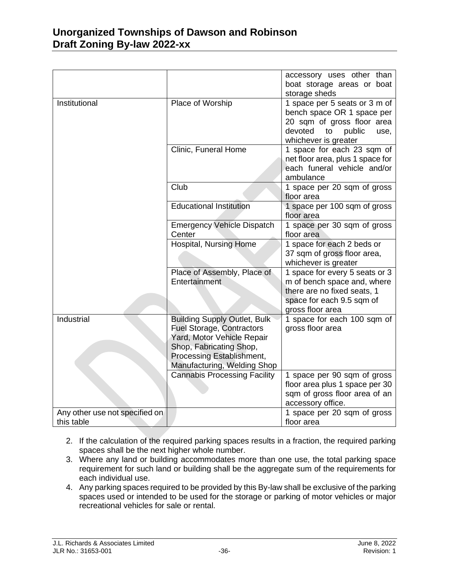|                                              |                                                                                                                                                                                              | accessory uses other than<br>boat storage areas or boat<br>storage sheds                                                                             |
|----------------------------------------------|----------------------------------------------------------------------------------------------------------------------------------------------------------------------------------------------|------------------------------------------------------------------------------------------------------------------------------------------------------|
| Institutional                                | Place of Worship                                                                                                                                                                             | 1 space per 5 seats or 3 m of<br>bench space OR 1 space per<br>20 sqm of gross floor area<br>devoted<br>public<br>to<br>use,<br>whichever is greater |
|                                              | Clinic, Funeral Home                                                                                                                                                                         | 1 space for each 23 sqm of<br>net floor area, plus 1 space for<br>each funeral vehicle and/or<br>ambulance                                           |
|                                              | Club                                                                                                                                                                                         | 1 space per 20 sqm of gross<br>floor area                                                                                                            |
|                                              | <b>Educational Institution</b>                                                                                                                                                               | 1 space per 100 sqm of gross<br>floor area                                                                                                           |
|                                              | <b>Emergency Vehicle Dispatch</b><br>Center                                                                                                                                                  | 1 space per 30 sqm of gross<br>floor area                                                                                                            |
|                                              | Hospital, Nursing Home                                                                                                                                                                       | 1 space for each 2 beds or<br>37 sqm of gross floor area,<br>whichever is greater                                                                    |
|                                              | Place of Assembly, Place of<br>Entertainment                                                                                                                                                 | 1 space for every 5 seats or 3<br>m of bench space and, where<br>there are no fixed seats, 1<br>space for each 9.5 sqm of<br>gross floor area        |
| <b>Industrial</b>                            | <b>Building Supply Outlet, Bulk</b><br><b>Fuel Storage, Contractors</b><br>Yard, Motor Vehicle Repair<br>Shop, Fabricating Shop,<br>Processing Establishment,<br>Manufacturing, Welding Shop | 1 space for each 100 sqm of<br>gross floor area                                                                                                      |
|                                              | <b>Cannabis Processing Facility</b>                                                                                                                                                          | 1 space per 90 sqm of gross<br>floor area plus 1 space per 30<br>sqm of gross floor area of an<br>accessory office.                                  |
| Any other use not specified on<br>this table |                                                                                                                                                                                              | 1 space per 20 sqm of gross<br>floor area                                                                                                            |

- 2. If the calculation of the required parking spaces results in a fraction, the required parking spaces shall be the next higher whole number.
- 3. Where any land or building accommodates more than one use, the total parking space requirement for such land or building shall be the aggregate sum of the requirements for each individual use.
- 4. Any parking spaces required to be provided by this By-law shall be exclusive of the parking spaces used or intended to be used for the storage or parking of motor vehicles or major recreational vehicles for sale or rental.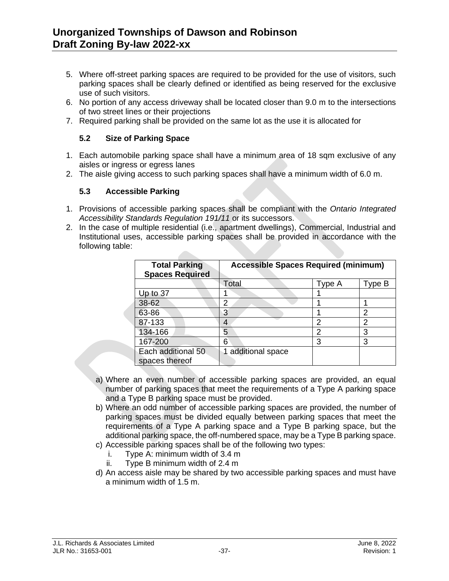- 5. Where off-street parking spaces are required to be provided for the use of visitors, such parking spaces shall be clearly defined or identified as being reserved for the exclusive use of such visitors.
- 6. No portion of any access driveway shall be located closer than 9.0 m to the intersections of two street lines or their projections
- 7. Required parking shall be provided on the same lot as the use it is allocated for

#### **5.2 Size of Parking Space**

- 1. Each automobile parking space shall have a minimum area of 18 sqm exclusive of any aisles or ingress or egress lanes
- 2. The aisle giving access to such parking spaces shall have a minimum width of 6.0 m.

#### **5.3 Accessible Parking**

- 1. Provisions of accessible parking spaces shall be compliant with the *Ontario Integrated Accessibility Standards Regulation 191/11* or its successors.
- 2. In the case of multiple residential (i.e., apartment dwellings), Commercial, Industrial and Institutional uses, accessible parking spaces shall be provided in accordance with the following table: **College Street**

| <b>Total Parking</b><br><b>Spaces Required</b> | <b>Accessible Spaces Required (minimum)</b> |        |        |
|------------------------------------------------|---------------------------------------------|--------|--------|
|                                                | Total                                       | Type A | Type B |
| Up to $37$                                     |                                             |        |        |
| 38-62                                          | 2                                           |        |        |
| 63-86                                          | 3                                           |        | 2      |
| 87-133                                         | 4                                           | 2      | 2      |
| 134-166                                        | 5                                           | 2      | 3      |
| 167-200                                        | 6                                           | 3      | 3      |
| Each additional 50<br>spaces thereof           | additional space                            |        |        |

- a) Where an even number of accessible parking spaces are provided, an equal number of parking spaces that meet the requirements of a Type A parking space and a Type B parking space must be provided.
- b) Where an odd number of accessible parking spaces are provided, the number of parking spaces must be divided equally between parking spaces that meet the requirements of a Type A parking space and a Type B parking space, but the additional parking space, the off-numbered space, may be a Type B parking space.
- c) Accessible parking spaces shall be of the following two types:
	- i. Type A: minimum width of 3.4 m
	- ii. Type B minimum width of 2.4 m
- d) An access aisle may be shared by two accessible parking spaces and must have a minimum width of 1.5 m.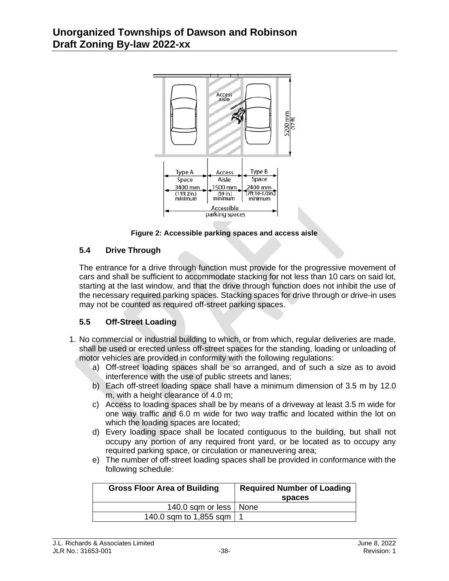

**Figure 2: Accessible parking spaces and access aisle**

#### **5.4 Drive Through**

The entrance for a drive through function must provide for the progressive movement of cars and shall be sufficient to accommodate stacking for not less than 10 cars on said lot, starting at the last window, and that the drive through function does not inhibit the use of the necessary required parking spaces. Stacking spaces for drive through or drive-in uses may not be counted as required off-street parking spaces.

## **5.5 Off-Street Loading**

- 1. No commercial or industrial building to which, or from which, regular deliveries are made, shall be used or erected unless off-street spaces for the standing, loading or unloading of motor vehicles are provided in conformity with the following regulations:
	- a) Off-street loading spaces shall be so arranged, and of such a size as to avoid interference with the use of public streets and lanes;
	- b) Each off-street loading space shall have a minimum dimension of 3.5 m by 12.0 m, with a height clearance of 4.0 m;
	- c) Access to loading spaces shall be by means of a driveway at least 3.5 m wide for one way traffic and 6.0 m wide for two way traffic and located within the lot on which the loading spaces are located;
	- d) Every loading space shall be located contiguous to the building, but shall not occupy any portion of any required front yard, or be located as to occupy any required parking space, or circulation or maneuvering area;
	- e) The number of off-street loading spaces shall be provided in conformance with the following schedule:

| <b>Gross Floor Area of Building</b> | <b>Required Number of Loading</b><br>spaces |
|-------------------------------------|---------------------------------------------|
| 140.0 sqm or less   None            |                                             |
| 140.0 sqm to 1,855 sqm   1          |                                             |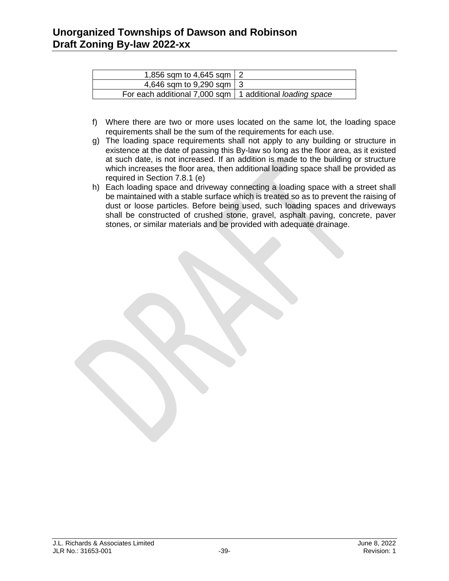| 1,856 sqm to 4,645 sqm $\vert$ 2                           |  |
|------------------------------------------------------------|--|
| 4,646 sqm to 9,290 sqm 3                                   |  |
| For each additional 7,000 sqm   1 additional loading space |  |

- f) Where there are two or more uses located on the same lot, the loading space requirements shall be the sum of the requirements for each use.
- g) The loading space requirements shall not apply to any building or structure in existence at the date of passing this By-law so long as the floor area, as it existed at such date, is not increased. If an addition is made to the building or structure which increases the floor area, then additional loading space shall be provided as required in Section 7.8.1 (e)
- h) Each loading space and driveway connecting a loading space with a street shall be maintained with a stable surface which is treated so as to prevent the raising of dust or loose particles. Before being used, such loading spaces and driveways shall be constructed of crushed stone, gravel, asphalt paving, concrete, paver stones, or similar materials and be provided with adequate drainage.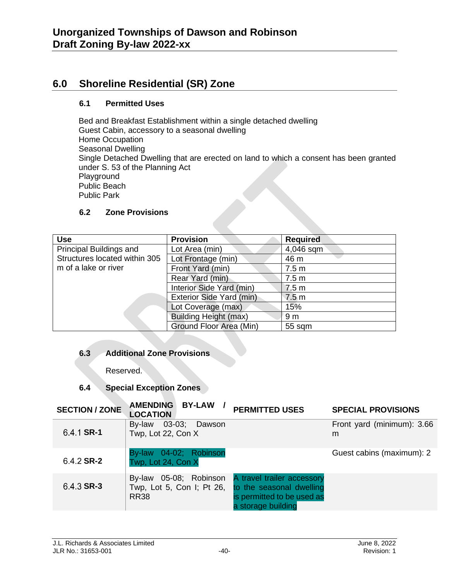## **6.0 Shoreline Residential (SR) Zone**

#### **6.1 Permitted Uses**

Bed and Breakfast Establishment within a single detached dwelling Guest Cabin, accessory to a seasonal dwelling Home Occupation Seasonal Dwelling Single Detached Dwelling that are erected on land to which a consent has been granted under S. 53 of the Planning Act Playground Public Beach Public Park

#### **6.2 Zone Provisions**

| <b>Use</b>                    | <b>Provision</b>             | <b>Required</b>  |
|-------------------------------|------------------------------|------------------|
| Principal Buildings and       | Lot Area (min)               | 4,046 sqm        |
| Structures located within 305 | Lot Frontage (min)           | 46 m             |
| m of a lake or river          | Front Yard (min)             | 7.5 <sub>m</sub> |
|                               | Rear Yard (min)              | 7.5 <sub>m</sub> |
|                               | Interior Side Yard (min)     | 7.5 <sub>m</sub> |
|                               | Exterior Side Yard (min)     | 7.5 <sub>m</sub> |
|                               | Lot Coverage (max)           | 15%              |
|                               | <b>Building Height (max)</b> | 9 <sub>m</sub>   |
|                               | Ground Floor Area (Min)      | 55 sqm           |

#### **6.3 Additional Zone Provisions**

Reserved.

## **6.4 Special Exception Zones**

| <b>SECTION / ZONE</b> | <b>AMENDING</b><br><b>BY-LAW</b><br><b>LOCATION</b>                   | <b>PERMITTED USES</b>                                                                                      | <b>SPECIAL PROVISIONS</b>       |
|-----------------------|-----------------------------------------------------------------------|------------------------------------------------------------------------------------------------------------|---------------------------------|
| 6.4.1 SR-1            | 03-03; Dawson<br>By-law<br>Twp, Lot 22, Con X                         |                                                                                                            | Front yard (minimum): 3.66<br>m |
| 6.4.2 SR-2            | By-law 04-02; Robinson<br>Twp, Lot 24, Con X                          |                                                                                                            | Guest cabins (maximum): 2       |
| $6.4.3$ SR-3          | 05-08; Robinson<br>By-law<br>Twp, Lot 5, Con I; Pt 26,<br><b>RR38</b> | A travel trailer accessory<br>to the seasonal dwelling<br>is permitted to be used as<br>a storage building |                                 |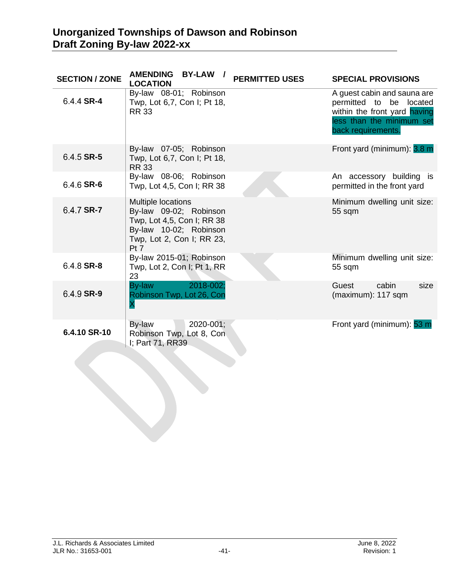| <b>SECTION / ZONE</b> | AMENDING BY-LAW /<br><b>LOCATION</b>                                                                                                      | <b>PERMITTED USES</b> | <b>SPECIAL PROVISIONS</b>                                                                                                                 |
|-----------------------|-------------------------------------------------------------------------------------------------------------------------------------------|-----------------------|-------------------------------------------------------------------------------------------------------------------------------------------|
| 6.4.4 SR-4            | By-law 08-01; Robinson<br>Twp, Lot 6,7, Con I; Pt 18,<br><b>RR 33</b>                                                                     |                       | A guest cabin and sauna are<br>permitted to be located<br>within the front yard having<br>less than the minimum set<br>back requirements. |
| 6.4.5 SR-5            | By-law 07-05; Robinson<br>Twp, Lot 6,7, Con I; Pt 18,<br><b>RR 33</b>                                                                     |                       | Front yard (minimum): 3.8 m                                                                                                               |
| 6.4.6 SR-6            | By-law 08-06; Robinson<br>Twp, Lot 4,5, Con I; RR 38                                                                                      |                       | An accessory building is<br>permitted in the front yard                                                                                   |
| 6.4.7 SR-7            | Multiple locations<br>By-law 09-02; Robinson<br>Twp, Lot 4,5, Con I; RR 38<br>By-law 10-02; Robinson<br>Twp, Lot 2, Con I; RR 23,<br>Pt 7 |                       | Minimum dwelling unit size:<br>55 sqm                                                                                                     |
| 6.4.8 SR-8            | By-law 2015-01; Robinson<br>Twp, Lot 2, Con I; Pt 1, RR<br>23                                                                             |                       | Minimum dwelling unit size:<br>55 sqm                                                                                                     |
| 6.4.9 SR-9            | 2018-002;<br>By-law<br>Robinson Twp, Lot 26, Con<br>X                                                                                     |                       | cabin<br>Guest<br>size<br>(maximum): 117 sqm                                                                                              |
| 6.4.10 SR-10          | By-law<br>2020-001;<br>Robinson Twp, Lot 8, Con<br>I; Part 71, RR39                                                                       |                       | Front yard (minimum): 53 m                                                                                                                |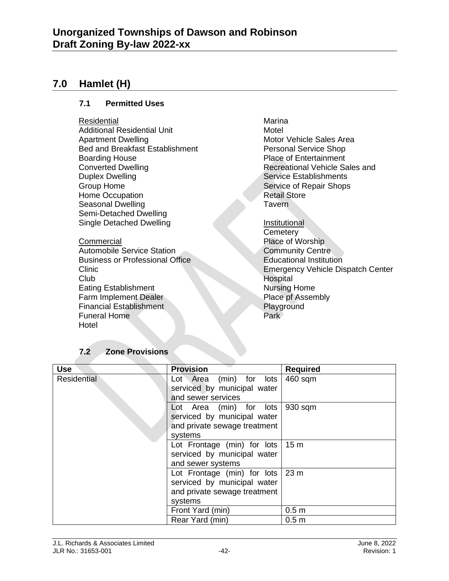## **7.0 Hamlet (H)**

#### **7.1 Permitted Uses**

- **Residential**
- Additional Residential Unit Apartment Dwelling Bed and Breakfast Establishment Boarding House Converted Dwelling Duplex Dwelling Group Home Home Occupation Seasonal Dwelling Semi-Detached Dwelling Single Detached Dwelling

**Commercial** Automobile Service Station Business or Professional Office Clinic Club Eating Establishment Farm Implement Dealer Financial Establishment Funeral Home Hotel

Marina Motel Motor Vehicle Sales Area Personal Service Shop Place of Entertainment Recreational Vehicle Sales and Service Establishments Service of Repair Shops Retail Store **Tavern** 

**Institutional Cemetery** Place of Worship Community Centre Educational Institution Emergency Vehicle Dispatch Center Hospital Nursing Home Place pf Assembly Playground **Park** 

## **7.2 Zone Provisions**

| <b>Use</b>         | <b>Provision</b>             | <b>Required</b>  |
|--------------------|------------------------------|------------------|
| <b>Residential</b> | Lot Area (min) for lots      | 460 sqm          |
|                    | serviced by municipal water  |                  |
|                    | and sewer services           |                  |
|                    | Lot Area (min) for lots      | 930 sqm          |
|                    | serviced by municipal water  |                  |
|                    | and private sewage treatment |                  |
|                    | systems                      |                  |
|                    | Lot Frontage (min) for lots  | 15 <sub>m</sub>  |
|                    | serviced by municipal water  |                  |
|                    | and sewer systems            |                  |
|                    | Lot Frontage (min) for lots  | 23 <sub>m</sub>  |
|                    | serviced by municipal water  |                  |
|                    | and private sewage treatment |                  |
|                    | systems                      |                  |
|                    | Front Yard (min)             | 0.5 <sub>m</sub> |
|                    | Rear Yard (min)              | 0.5 <sub>m</sub> |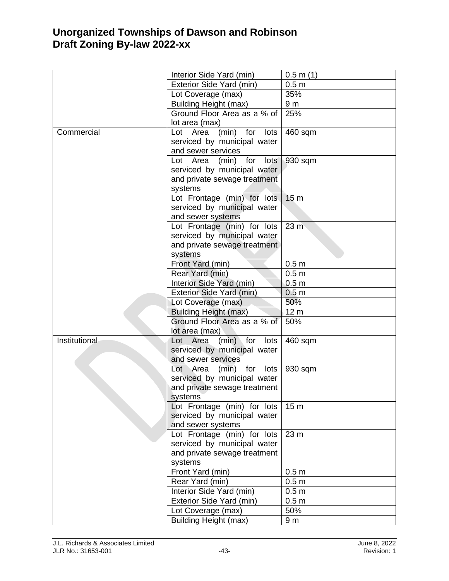|               | Interior Side Yard (min)               | $0.5$ m $(1)$    |
|---------------|----------------------------------------|------------------|
|               | Exterior Side Yard (min)               | 0.5 <sub>m</sub> |
|               | Lot Coverage (max)                     | 35%              |
|               | <b>Building Height (max)</b>           | 9 <sub>m</sub>   |
|               | Ground Floor Area as a % of            | 25%              |
|               | lot area (max)                         |                  |
| Commercial    | Area<br>(min)<br>for<br>lots<br>Lot    | 460 sqm          |
|               | serviced by municipal water            |                  |
|               | and sewer services                     |                  |
|               | Lot Area (min) for<br>lots             | 930 sqm          |
|               | serviced by municipal water            |                  |
|               | and private sewage treatment           |                  |
|               | systems                                |                  |
|               | Lot Frontage (min) for lots            | 15 <sub>m</sub>  |
|               | serviced by municipal water            |                  |
|               | and sewer systems                      |                  |
|               | Lot Frontage (min) for lots            | 23 <sub>m</sub>  |
|               | serviced by municipal water            |                  |
|               | and private sewage treatment           |                  |
|               | systems                                |                  |
|               | Front Yard (min)                       | 0.5 <sub>m</sub> |
|               | Rear Yard (min)                        | 0.5 <sub>m</sub> |
|               | Interior Side Yard (min)               | 0.5 <sub>m</sub> |
|               | Exterior Side Yard (min)               | 0.5 <sub>m</sub> |
|               | Lot Coverage (max)                     | 50%              |
|               | <b>Building Height (max)</b>           | 12 <sub>m</sub>  |
|               | Ground Floor Area as a % of            | 50%              |
|               | lot area (max)                         |                  |
| Institutional | $(min)$ for<br>Lot Area<br>lots        | 460 sqm          |
|               | serviced by municipal water            |                  |
|               | and sewer services                     |                  |
|               | $(min)$ for<br>lots<br>Lot Area        | 930 sqm          |
|               | serviced by municipal water            |                  |
|               | and private sewage treatment           |                  |
|               | systems<br>Lot Frontage (min) for lots | 15 <sub>m</sub>  |
|               | serviced by municipal water            |                  |
|               | and sewer systems                      |                  |
|               | Lot Frontage (min) for lots            | 23 m             |
|               | serviced by municipal water            |                  |
|               | and private sewage treatment           |                  |
|               | systems                                |                  |
|               | Front Yard (min)                       | 0.5 <sub>m</sub> |
|               | Rear Yard (min)                        | 0.5 <sub>m</sub> |
|               | Interior Side Yard (min)               | 0.5 <sub>m</sub> |
|               | Exterior Side Yard (min)               | 0.5 <sub>m</sub> |
|               | Lot Coverage (max)                     | 50%              |
|               | <b>Building Height (max)</b>           | 9 <sub>m</sub>   |
|               |                                        |                  |
|               |                                        |                  |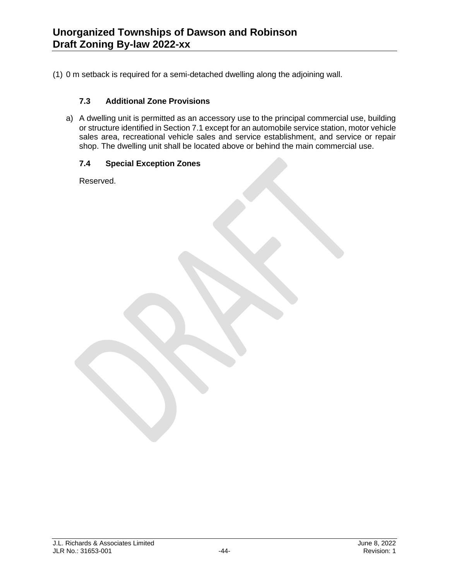(1) 0 m setback is required for a semi-detached dwelling along the adjoining wall.

#### **7.3 Additional Zone Provisions**

a) A dwelling unit is permitted as an accessory use to the principal commercial use, building or structure identified in Section 7.1 except for an automobile service station, motor vehicle sales area, recreational vehicle sales and service establishment, and service or repair shop. The dwelling unit shall be located above or behind the main commercial use.

#### **7.4 Special Exception Zones**

Reserved.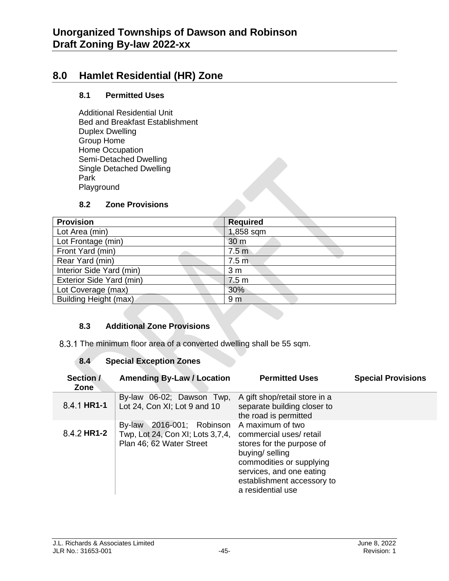# **8.0 Hamlet Residential (HR) Zone**

#### **8.1 Permitted Uses**

Additional Residential Unit Bed and Breakfast Establishment Duplex Dwelling Group Home Home Occupation Semi-Detached Dwelling Single Detached Dwelling Park Playground

#### **8.2 Zone Provisions**

| <b>Provision</b>         | <b>Required</b>  |
|--------------------------|------------------|
| Lot Area (min)           | 1,858 sqm        |
| Lot Frontage (min)       | 30 m             |
| Front Yard (min)         | 7.5 <sub>m</sub> |
| Rear Yard (min)          | 7.5 <sub>m</sub> |
| Interior Side Yard (min) | 3 <sub>m</sub>   |
| Exterior Side Yard (min) | 7.5 <sub>m</sub> |
| Lot Coverage (max)       | 30%              |
| Building Height (max)    | 9 <sub>m</sub>   |

#### **8.3 Additional Zone Provisions**

8.3.1 The minimum floor area of a converted dwelling shall be 55 sqm.

#### **8.4 Special Exception Zones**

| Section /<br><b>Zone</b> | <b>Amending By-Law / Location</b>                                                            | <b>Permitted Uses</b>                                                                                                                                                                                 | <b>Special Provisions</b> |
|--------------------------|----------------------------------------------------------------------------------------------|-------------------------------------------------------------------------------------------------------------------------------------------------------------------------------------------------------|---------------------------|
| 8.4.1 HR1-1              | By-law 06-02; Dawson Twp,<br>Lot 24, Con XI; Lot 9 and 10                                    | A gift shop/retail store in a<br>separate building closer to<br>the road is permitted                                                                                                                 |                           |
| 8.4.2 HR1-2              | 2016-001; Robinson<br>By-law<br>Twp, Lot 24, Con XI; Lots 3,7,4,<br>Plan 46; 62 Water Street | A maximum of two<br>commercial uses/retail<br>stores for the purpose of<br>buying/ selling<br>commodities or supplying<br>services, and one eating<br>establishment accessory to<br>a residential use |                           |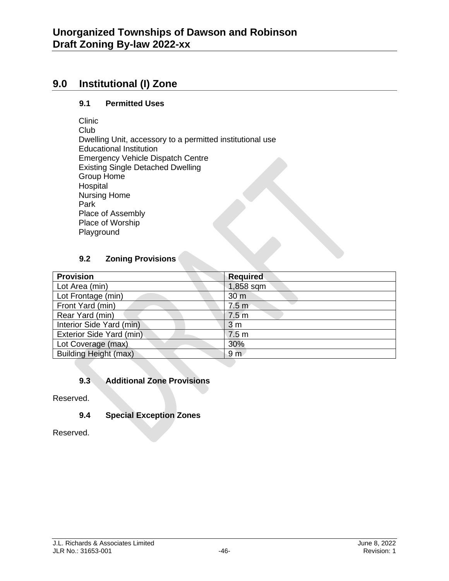## **9.0 Institutional (I) Zone**

#### **9.1 Permitted Uses**

Clinic

Club Dwelling Unit, accessory to a permitted institutional use Educational Institution Emergency Vehicle Dispatch Centre Existing Single Detached Dwelling Group Home Hospital Nursing Home Park Place of Assembly Place of Worship Playground

#### **9.2 Zoning Provisions**

| <b>Provision</b>             | <b>Required</b>  |
|------------------------------|------------------|
| Lot Area (min)               | 1,858 sqm        |
| Lot Frontage (min)           | 30 <sub>m</sub>  |
| Front Yard (min)             | 7.5 <sub>m</sub> |
| Rear Yard (min)              | 7.5 <sub>m</sub> |
| Interior Side Yard (min)     | 3 <sub>m</sub>   |
| Exterior Side Yard (min)     | 7.5 <sub>m</sub> |
| Lot Coverage (max)           | 30%              |
| <b>Building Height (max)</b> | 9 <sub>m</sub>   |

## **9.3 Additional Zone Provisions**

Reserved.

## **9.4 Special Exception Zones**

Reserved.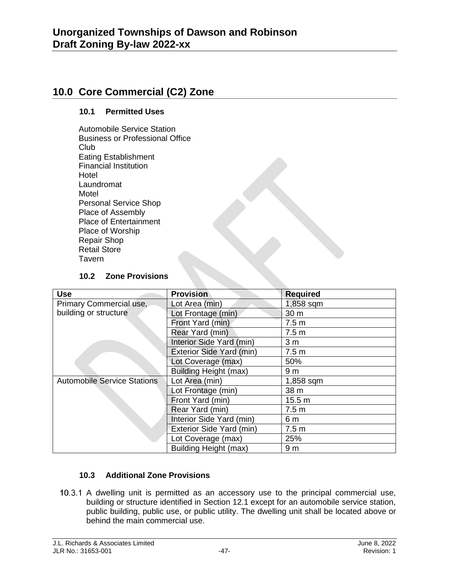## **10.0 Core Commercial (C2) Zone**

#### **10.1 Permitted Uses**

Automobile Service Station Business or Professional Office Club Eating Establishment Financial Institution **Hotel** Laundromat Motel Personal Service Shop Place of Assembly Place of Entertainment Place of Worship Repair Shop Retail Store Tavern

#### **10.2 Zone Provisions**

| <b>Use</b>                         | <b>Provision</b>         | <b>Required</b>  |
|------------------------------------|--------------------------|------------------|
| Primary Commercial use,            | Lot Area (min)           | 1,858 sqm        |
| building or structure              | Lot Frontage (min)       | 30 m             |
|                                    | Front Yard (min)         | 7.5 <sub>m</sub> |
|                                    | Rear Yard (min)          | 7.5 <sub>m</sub> |
|                                    | Interior Side Yard (min) | 3 <sub>m</sub>   |
|                                    | Exterior Side Yard (min) | 7.5 <sub>m</sub> |
|                                    | Lot Coverage (max)       | 50%              |
|                                    | Building Height (max)    | 9 <sub>m</sub>   |
| <b>Automobile Service Stations</b> | Lot Area (min)           | 1,858 sqm        |
|                                    | Lot Frontage (min)       | 38 m             |
|                                    | Front Yard (min)         | 15.5 m           |
|                                    | Rear Yard (min)          | 7.5 <sub>m</sub> |
|                                    | Interior Side Yard (min) | 6 m              |
|                                    | Exterior Side Yard (min) | 7.5 <sub>m</sub> |
|                                    | Lot Coverage (max)       | 25%              |
|                                    | Building Height (max)    | 9 <sub>m</sub>   |

#### **10.3 Additional Zone Provisions**

10.3.1 A dwelling unit is permitted as an accessory use to the principal commercial use, building or structure identified in Section 12.1 except for an automobile service station, public building, public use, or public utility. The dwelling unit shall be located above or behind the main commercial use.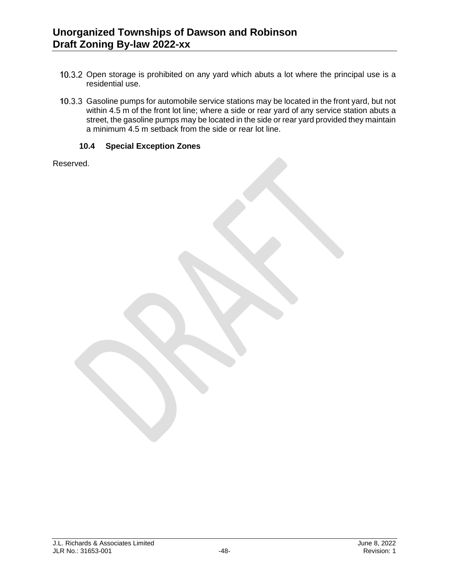- 10.3.2 Open storage is prohibited on any yard which abuts a lot where the principal use is a residential use.
- 10.3.3 Gasoline pumps for automobile service stations may be located in the front yard, but not within 4.5 m of the front lot line; where a side or rear yard of any service station abuts a street, the gasoline pumps may be located in the side or rear yard provided they maintain a minimum 4.5 m setback from the side or rear lot line.

#### **10.4 Special Exception Zones**

Reserved.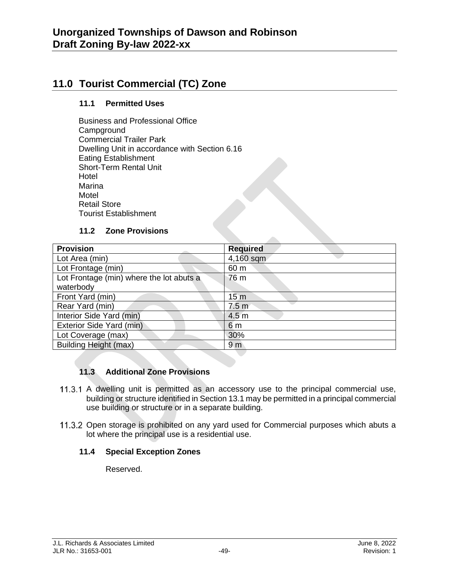# **11.0 Tourist Commercial (TC) Zone**

#### **11.1 Permitted Uses**

Business and Professional Office **Campground** Commercial Trailer Park Dwelling Unit in accordance with Section 6.16 Eating Establishment Short-Term Rental Unit Hotel Marina **Motel** Retail Store Tourist Establishment

#### **11.2 Zone Provisions**

| <b>Provision</b>                         | <b>Required</b>  |
|------------------------------------------|------------------|
| Lot Area (min)                           | 4,160 sqm        |
| Lot Frontage (min)                       | 60 m             |
| Lot Frontage (min) where the lot abuts a | 76 m             |
| waterbody                                |                  |
| Front Yard (min)                         | 15 <sub>m</sub>  |
| Rear Yard (min)                          | 7.5 <sub>m</sub> |
| Interior Side Yard (min)                 | 4.5 <sub>m</sub> |
| Exterior Side Yard (min)                 | 6 m              |
| Lot Coverage (max)                       | 30%              |
| <b>Building Height (max)</b>             | 9 <sub>m</sub>   |

## **11.3 Additional Zone Provisions**

- 11.3.1 A dwelling unit is permitted as an accessory use to the principal commercial use, building or structure identified in Section 13.1 may be permitted in a principal commercial use building or structure or in a separate building.
- 11.3.2 Open storage is prohibited on any yard used for Commercial purposes which abuts a lot where the principal use is a residential use.

#### **11.4 Special Exception Zones**

Reserved.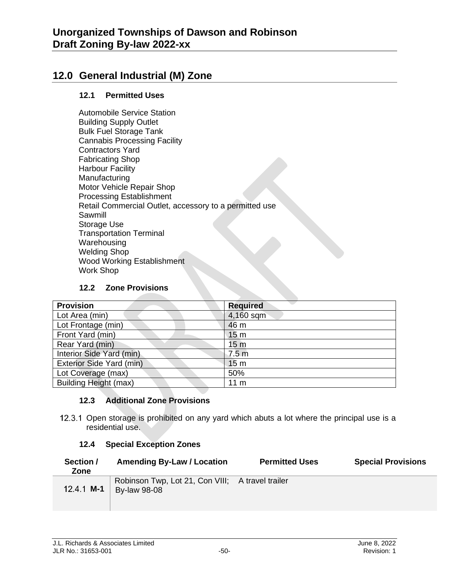# **12.0 General Industrial (M) Zone**

#### **12.1 Permitted Uses**

Automobile Service Station Building Supply Outlet Bulk Fuel Storage Tank Cannabis Processing Facility Contractors Yard Fabricating Shop Harbour Facility **Manufacturing** Motor Vehicle Repair Shop Processing Establishment Retail Commercial Outlet, accessory to a permitted use Sawmill Storage Use Transportation Terminal **Warehousing** Welding Shop Wood Working Establishment Work Shop

#### **12.2 Zone Provisions**

| <b>Provision</b>             | <b>Required</b>  |
|------------------------------|------------------|
| Lot Area (min)               | 4,160 sqm        |
| Lot Frontage (min)           | 46 m             |
| Front Yard (min)             | 15 <sub>m</sub>  |
| Rear Yard (min)              | 15 <sub>m</sub>  |
| Interior Side Yard (min)     | 7.5 <sub>m</sub> |
| Exterior Side Yard (min)     | 15 <sub>m</sub>  |
| Lot Coverage (max)           | 50%              |
| <b>Building Height (max)</b> | 11 <sub>m</sub>  |

#### **12.3 Additional Zone Provisions**

12.3.1 Open storage is prohibited on any yard which abuts a lot where the principal use is a residential use.

#### **12.4 Special Exception Zones**

| Section /<br>Zone | <b>Amending By-Law / Location</b>                                       | <b>Permitted Uses</b> | <b>Special Provisions</b> |
|-------------------|-------------------------------------------------------------------------|-----------------------|---------------------------|
| 12.4.1 <b>M-1</b> | Robinson Twp, Lot 21, Con VIII; A travel trailer<br><b>By-law 98-08</b> |                       |                           |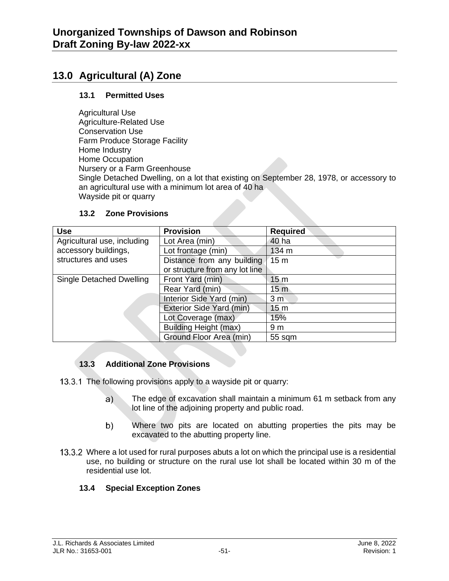# **13.0 Agricultural (A) Zone**

#### **13.1 Permitted Uses**

Agricultural Use Agriculture-Related Use Conservation Use Farm Produce Storage Facility Home Industry Home Occupation Nursery or a Farm Greenhouse Single Detached Dwelling, on a lot that existing on September 28, 1978, or accessory to an agricultural use with a minimum lot area of 40 ha Wayside pit or quarry

| <b>Use</b>                  | <b>Provision</b>               | <b>Required</b> |
|-----------------------------|--------------------------------|-----------------|
| Agricultural use, including | Lot Area (min)                 | 40 ha           |
| accessory buildings,        | Lot frontage (min)             | 134 m           |
| structures and uses         | Distance from any building     | 15 <sub>m</sub> |
|                             | or structure from any lot line |                 |
| Single Detached Dwelling    | Front Yard (min)               | 15 <sub>m</sub> |
|                             | Rear Yard (min)                | 15 <sub>m</sub> |
|                             | Interior Side Yard (min)       | 3 <sub>m</sub>  |
|                             | Exterior Side Yard (min)       | 15 <sub>m</sub> |
|                             | Lot Coverage (max)             | 15%             |
|                             | <b>Building Height (max)</b>   | 9 <sub>m</sub>  |
|                             | Ground Floor Area (min)        | 55 sqm          |

#### **13.2 Zone Provisions**

#### **13.3 Additional Zone Provisions**

13.3.1 The following provisions apply to a wayside pit or quarry:

- $a)$ The edge of excavation shall maintain a minimum 61 m setback from any lot line of the adjoining property and public road.
- Where two pits are located on abutting properties the pits may be  $b)$ excavated to the abutting property line.
- 13.3.2 Where a lot used for rural purposes abuts a lot on which the principal use is a residential use, no building or structure on the rural use lot shall be located within 30 m of the residential use lot.

#### **13.4 Special Exception Zones**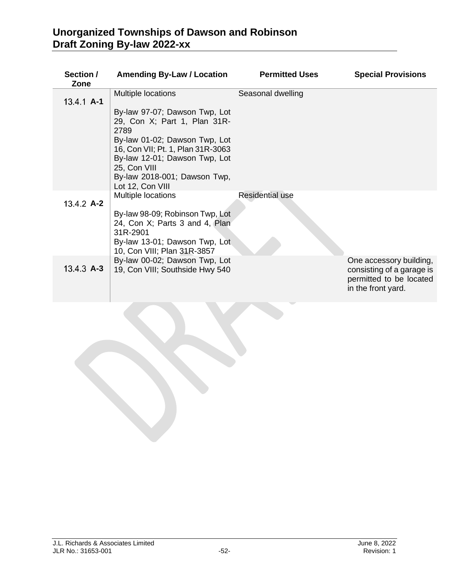| Section /<br>Zone | <b>Amending By-Law / Location</b>                                                                                                                                                                                                                | <b>Permitted Uses</b>  | <b>Special Provisions</b>                                                                             |
|-------------------|--------------------------------------------------------------------------------------------------------------------------------------------------------------------------------------------------------------------------------------------------|------------------------|-------------------------------------------------------------------------------------------------------|
| $13.4.1$ A-1      | Multiple locations                                                                                                                                                                                                                               | Seasonal dwelling      |                                                                                                       |
|                   | By-law 97-07; Dawson Twp, Lot<br>29, Con X; Part 1, Plan 31R-<br>2789<br>By-law 01-02; Dawson Twp, Lot<br>16, Con VII; Pt. 1, Plan 31R-3063<br>By-law 12-01; Dawson Twp, Lot<br>25, Con VIII<br>By-law 2018-001; Dawson Twp,<br>Lot 12, Con VIII |                        |                                                                                                       |
| $13.4.2$ A-2      | Multiple locations<br>By-law 98-09; Robinson Twp, Lot<br>24, Con X; Parts 3 and 4, Plan<br>31R-2901<br>By-law 13-01; Dawson Twp, Lot                                                                                                             | <b>Residential use</b> |                                                                                                       |
| $13.4.3$ A-3      | 10, Con VIII; Plan 31R-3857<br>By-law 00-02; Dawson Twp, Lot<br>19, Con VIII; Southside Hwy 540                                                                                                                                                  |                        | One accessory building,<br>consisting of a garage is<br>permitted to be located<br>in the front yard. |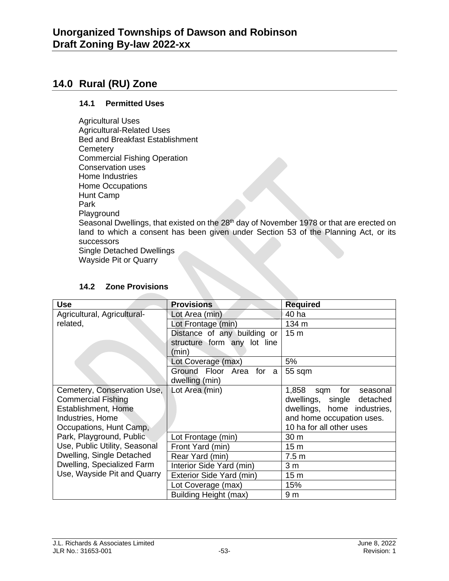## **14.0 Rural (RU) Zone**

#### **14.1 Permitted Uses**

Agricultural Uses Agricultural-Related Uses Bed and Breakfast Establishment **Cemetery** Commercial Fishing Operation Conservation uses Home Industries Home Occupations Hunt Camp Park Playground Seasonal Dwellings, that existed on the 28<sup>th</sup> day of November 1978 or that are erected on land to which a consent has been given under Section 53 of the Planning Act, or its successors Single Detached Dwellings Wayside Pit or Quarry

| <b>Use</b>                    | <b>Provisions</b>           | <b>Required</b>              |
|-------------------------------|-----------------------------|------------------------------|
| Agricultural, Agricultural-   | Lot Area (min)              | 40 ha                        |
| related,                      | Lot Frontage (min)          | 134 m                        |
|                               | Distance of any building or | 15 <sub>m</sub>              |
|                               | structure form any lot line |                              |
|                               | (min)                       |                              |
|                               | Lot Coverage (max)          | 5%                           |
|                               | Ground Floor Area for a     | 55 sqm                       |
|                               | dwelling (min)              |                              |
| Cemetery, Conservation Use,   | Lot Area (min)              | 1,858 sqm<br>for<br>seasonal |
| <b>Commercial Fishing</b>     |                             | dwellings, single detached   |
| Establishment, Home           |                             | dwellings, home industries,  |
| Industries, Home              |                             | and home occupation uses.    |
| Occupations, Hunt Camp,       |                             | 10 ha for all other uses     |
| Park, Playground, Public      | Lot Frontage (min)          | 30 <sub>m</sub>              |
| Use, Public Utility, Seasonal | Front Yard (min)            | 15 <sub>m</sub>              |
| Dwelling, Single Detached     | Rear Yard (min)             | 7.5 <sub>m</sub>             |
| Dwelling, Specialized Farm    | Interior Side Yard (min)    | 3 <sub>m</sub>               |
| Use, Wayside Pit and Quarry   | Exterior Side Yard (min)    | 15 <sub>m</sub>              |
|                               | Lot Coverage (max)          | 15%                          |
|                               | Building Height (max)       | 9 <sub>m</sub>               |

#### **14.2 Zone Provisions**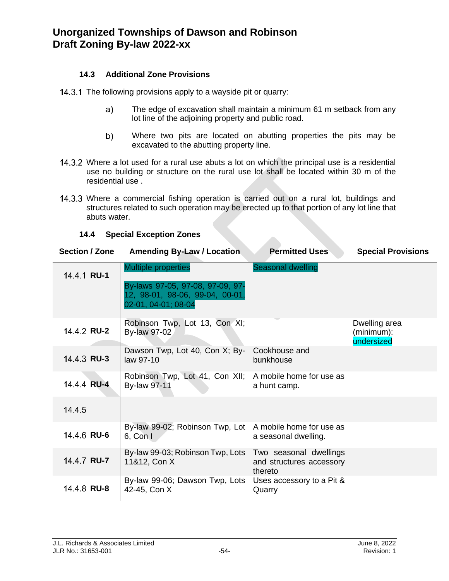#### **14.3 Additional Zone Provisions**

- 14.3.1 The following provisions apply to a wayside pit or quarry:
	- The edge of excavation shall maintain a minimum 61 m setback from any  $a)$ lot line of the adjoining property and public road.
	- $b)$ Where two pits are located on abutting properties the pits may be excavated to the abutting property line.
- 14.3.2 Where a lot used for a rural use abuts a lot on which the principal use is a residential use no building or structure on the rural use lot shall be located within 30 m of the residential use .
- 14.3.3 Where a commercial fishing operation is carried out on a rural lot, buildings and structures related to such operation may be erected up to that portion of any lot line that abuts water.

| Section / Zone     | <b>Amending By-Law / Location</b>                                                          | <b>Permitted Uses</b>               | <b>Special Provisions</b>                 |
|--------------------|--------------------------------------------------------------------------------------------|-------------------------------------|-------------------------------------------|
| 14.4.1 RU-1        | <b>Multiple properties</b>                                                                 | Seasonal dwelling                   |                                           |
|                    | By-laws 97-05, 97-08, 97-09, 97-<br>12, 98-01, 98-06, 99-04, 00-01,<br>02-01, 04-01; 08-04 |                                     |                                           |
| 14.4.2 RU-2        | Robinson Twp, Lot 13, Con XI;<br>By-law 97-02                                              |                                     | Dwelling area<br>(minimum):<br>undersized |
| 14.4.3 RU-3        | Dawson Twp, Lot 40, Con X; By-<br>law 97-10                                                | Cookhouse and<br>bunkhouse          |                                           |
| 14.4.4 RU-4        | Robinson Twp, Lot 41, Con XII; A mobile home for use as<br><b>By-law 97-11</b>             | a hunt camp.                        |                                           |
| 14.4.5             |                                                                                            |                                     |                                           |
| 14.4.6 RU-6        | By-law 99-02; Robinson Twp, Lot A mobile home for use as<br>$6,$ Con I                     | a seasonal dwelling.                |                                           |
| 14.4.7 <b>RU-7</b> | By-law 99-03; Robinson Twp, Lots Two seasonal dwellings<br>11&12, Con X                    | and structures accessory<br>thereto |                                           |
| 14.4.8 RU-8        | By-law 99-06; Dawson Twp, Lots<br>42-45, Con X                                             | Uses accessory to a Pit &<br>Quarry |                                           |

#### **14.4 Special Exception Zones**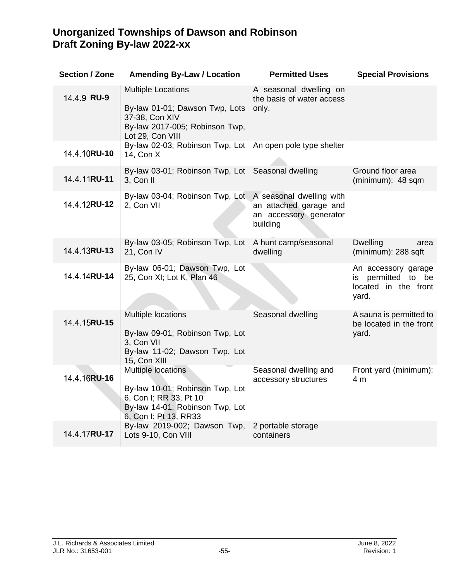| <b>Section / Zone</b> | <b>Amending By-Law / Location</b>                                                                                     | <b>Permitted Uses</b>                                        | <b>Special Provisions</b>                                                     |
|-----------------------|-----------------------------------------------------------------------------------------------------------------------|--------------------------------------------------------------|-------------------------------------------------------------------------------|
| 14.4.9 RU-9           | <b>Multiple Locations</b><br>By-law 01-01; Dawson Twp, Lots                                                           | A seasonal dwelling on<br>the basis of water access<br>only. |                                                                               |
|                       | 37-38, Con XIV<br>By-law 2017-005; Robinson Twp,<br>Lot 29, Con VIII                                                  |                                                              |                                                                               |
| 14.4.10RU-10          | By-law 02-03; Robinson Twp, Lot An open pole type shelter<br>14, Con X                                                |                                                              |                                                                               |
| 14.4.11RU-11          | By-law 03-01; Robinson Twp, Lot Seasonal dwelling<br>3, Con II                                                        |                                                              | Ground floor area<br>(minimum): 48 sqm                                        |
| 14.4.12RU-12          | By-law 03-04; Robinson Twp, Lot A seasonal dwelling with<br>2, Con VII                                                | an attached garage and<br>an accessory generator<br>building |                                                                               |
| 14.4.13RU-13          | By-law 03-05; Robinson Twp, Lot A hunt camp/seasonal<br>21, Con IV                                                    | dwelling                                                     | <b>Dwelling</b><br>area<br>(minimum): 288 sqft                                |
| 14.4.14RU-14          | By-law 06-01; Dawson Twp, Lot<br>25, Con XI; Lot K, Plan 46                                                           |                                                              | An accessory garage<br>is permitted to<br>be<br>located in the front<br>yard. |
| 14.4.15RU-15          | Multiple locations                                                                                                    | Seasonal dwelling                                            | A sauna is permitted to<br>be located in the front                            |
|                       | By-law 09-01; Robinson Twp, Lot<br>3, Con VII<br>By-law 11-02; Dawson Twp, Lot<br>15, Con XIII                        |                                                              | yard.                                                                         |
| 14.4.16RU-16          | <b>Multiple locations</b>                                                                                             | Seasonal dwelling and<br>accessory structures                | Front yard (minimum):<br>4 m                                                  |
|                       | By-law 10-01; Robinson Twp, Lot<br>6, Con I; RR 33, Pt 10<br>By-law 14-01; Robinson Twp, Lot<br>6, Con I; Pt 13, RR33 |                                                              |                                                                               |
| 14.4.17RU-17          | By-law 2019-002; Dawson Twp,<br>Lots 9-10, Con VIII                                                                   | 2 portable storage<br>containers                             |                                                                               |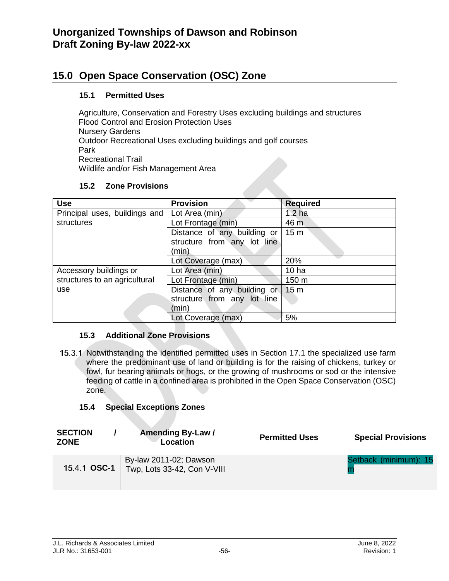# **15.0 Open Space Conservation (OSC) Zone**

#### **15.1 Permitted Uses**

Agriculture, Conservation and Forestry Uses excluding buildings and structures Flood Control and Erosion Protection Uses Nursery Gardens Outdoor Recreational Uses excluding buildings and golf courses Park Recreational Trail Wildlife and/or Fish Management Area

#### **15.2 Zone Provisions**

| <b>Use</b>                    | <b>Provision</b>            | <b>Required</b>   |
|-------------------------------|-----------------------------|-------------------|
| Principal uses, buildings and | Lot Area (min)              | 1.2 <sub>ha</sub> |
| structures                    | Lot Frontage (min)          | 46 m              |
|                               | Distance of any building or | 15 <sub>m</sub>   |
|                               | structure from any lot line |                   |
|                               | (min)                       |                   |
|                               | Lot Coverage (max)          | 20%               |
| Accessory buildings or        | Lot Area (min)              | 10 <sub>ha</sub>  |
| structures to an agricultural | Lot Frontage (min)          | 150 m             |
| use                           | Distance of any building or | 15 <sub>m</sub>   |
|                               | structure from any lot line |                   |
|                               | (min)                       |                   |
|                               | Lot Coverage (max)          | 5%                |

#### **15.3 Additional Zone Provisions**

15.3.1 Notwithstanding the identified permitted uses in Section 17.1 the specialized use farm where the predominant use of land or building is for the raising of chickens, turkey or fowl, fur bearing animals or hogs, or the growing of mushrooms or sod or the intensive feeding of cattle in a confined area is prohibited in the Open Space Conservation (OSC) zone.

#### **15.4 Special Exceptions Zones**

| <b>SECTION</b><br><b>ZONE</b> | <b>Amending By-Law /</b><br>Location                  | <b>Permitted Uses</b> | <b>Special Provisions</b> |
|-------------------------------|-------------------------------------------------------|-----------------------|---------------------------|
| 15.4.1 OSC-1                  | By-law 2011-02; Dawson<br>Twp, Lots 33-42, Con V-VIII |                       | Setback (minimum): 15     |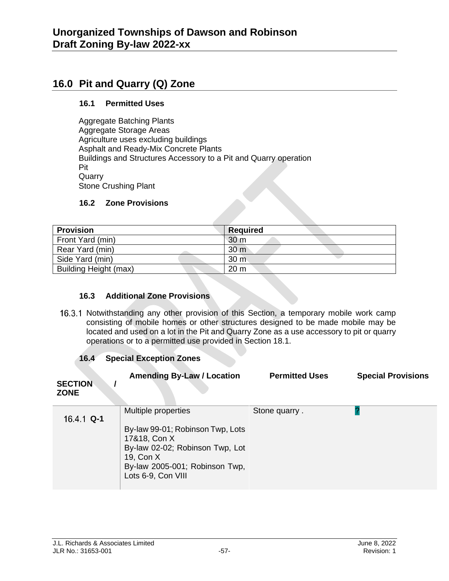## **16.0 Pit and Quarry (Q) Zone**

#### **16.1 Permitted Uses**

Aggregate Batching Plants Aggregate Storage Areas Agriculture uses excluding buildings Asphalt and Ready-Mix Concrete Plants Buildings and Structures Accessory to a Pit and Quarry operation Pit Quarry Stone Crushing Plant

#### **16.2 Zone Provisions**

| <b>Provision</b>      | <b>Required</b> |
|-----------------------|-----------------|
| Front Yard (min)      | 30 m            |
| Rear Yard (min)       | 30 <sub>m</sub> |
| Side Yard (min)       | 30 <sub>m</sub> |
| Building Height (max) | 20 <sub>m</sub> |

#### **16.3 Additional Zone Provisions**

16.3.1 Notwithstanding any other provision of this Section, a temporary mobile work camp consisting of mobile homes or other structures designed to be made mobile may be located and used on a lot in the Pit and Quarry Zone as a use accessory to pit or quarry operations or to a permitted use provided in Section 18.1.

#### **16.4 Special Exception Zones**

| <b>SECTION</b><br><b>ZONE</b> | <b>Amending By-Law / Location</b>                                                                                                                                               | <b>Permitted Uses</b> | <b>Special Provisions</b> |
|-------------------------------|---------------------------------------------------------------------------------------------------------------------------------------------------------------------------------|-----------------------|---------------------------|
| $16.4.1$ Q-1                  | Multiple properties<br>By-law 99-01; Robinson Twp, Lots<br>17&18, Con X<br>By-law 02-02; Robinson Twp, Lot<br>19, Con X<br>By-law 2005-001; Robinson Twp,<br>Lots 6-9, Con VIII | Stone quarry.         |                           |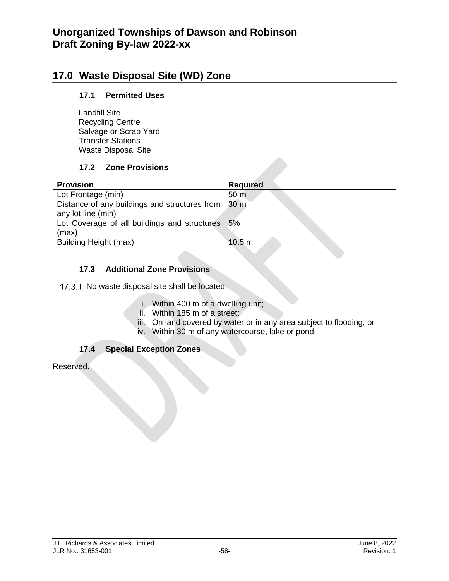## **17.0 Waste Disposal Site (WD) Zone**

#### **17.1 Permitted Uses**

Landfill Site Recycling Centre Salvage or Scrap Yard Transfer Stations Waste Disposal Site

#### **17.2 Zone Provisions**

| <b>Provision</b>                              | <b>Required</b>   |
|-----------------------------------------------|-------------------|
| Lot Frontage (min)                            | 50 <sub>m</sub>   |
| Distance of any buildings and structures from | 30 <sub>m</sub>   |
| any lot line (min)                            |                   |
| Lot Coverage of all buildings and structures  | 5%                |
| (max)                                         |                   |
| Building Height (max)                         | 10.5 <sub>m</sub> |

#### **17.3 Additional Zone Provisions**

17.3.1 No waste disposal site shall be located:

- i. Within 400 m of a dwelling unit;
- ii. Within 185 m of a street;
- iii. On land covered by water or in any area subject to flooding; or
- iv. Within 30 m of any watercourse, lake or pond.

## **17.4 Special Exception Zones**

Reserved.